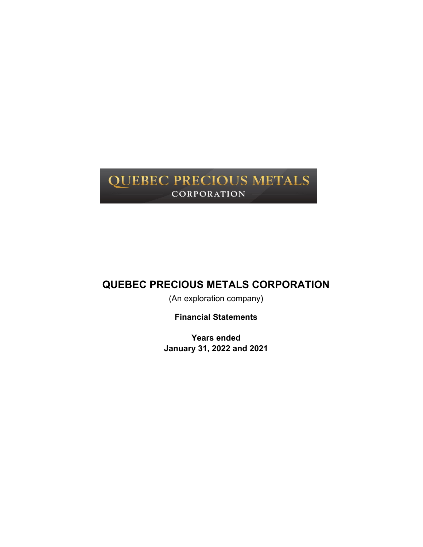# **QUEBEC PRECIOUS METALS CORPORATION**

(An exploration company)

**Financial Statements**

**Years ended January 31, 2022 and 2021**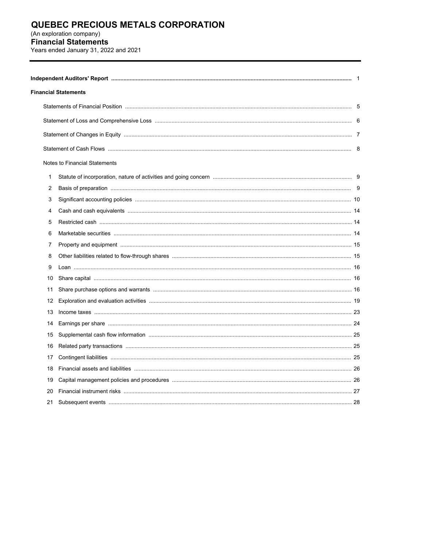## (An exploration company)

Financial Statements

Years ended January 31, 2022 and 2021

|    | <b>Financial Statements</b>   |  |
|----|-------------------------------|--|
|    |                               |  |
|    |                               |  |
|    |                               |  |
|    |                               |  |
|    |                               |  |
|    | Notes to Financial Statements |  |
| 1  |                               |  |
| 2  |                               |  |
| 3  |                               |  |
| 4  |                               |  |
| 5  |                               |  |
| 6  |                               |  |
| 7  |                               |  |
| 8  |                               |  |
| 9  |                               |  |
| 10 |                               |  |
| 11 |                               |  |
| 12 |                               |  |
| 13 |                               |  |
| 14 |                               |  |
| 15 |                               |  |
| 16 |                               |  |
| 17 |                               |  |
| 18 |                               |  |
| 19 |                               |  |
| 20 |                               |  |
| 21 |                               |  |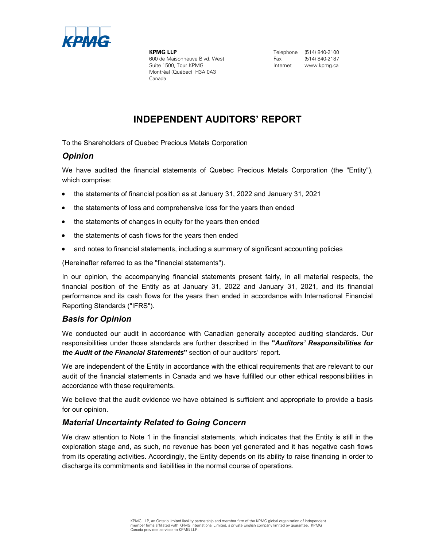

**KPMG LLP** Telephone (514) 840-2100 600 de Maisonneuve Blvd. West Fax (514) 840-2187 Suite 1500, Tour KPMG **Internet** www.kpmg.ca Montréal (Québec) H3A 0A3 Canada

# **INDEPENDENT AUDITORS' REPORT**

To the Shareholders of Quebec Precious Metals Corporation

## *Opinion*

We have audited the financial statements of Quebec Precious Metals Corporation (the "Entity"), which comprise:

- the statements of financial position as at January 31, 2022 and January 31, 2021
- the statements of loss and comprehensive loss for the years then ended
- the statements of changes in equity for the years then ended
- the statements of cash flows for the years then ended
- and notes to financial statements, including a summary of significant accounting policies

(Hereinafter referred to as the "financial statements").

In our opinion, the accompanying financial statements present fairly, in all material respects, the financial position of the Entity as at January 31, 2022 and January 31, 2021, and its financial performance and its cash flows for the years then ended in accordance with International Financial Reporting Standards ("IFRS").

## *Basis for Opinion*

We conducted our audit in accordance with Canadian generally accepted auditing standards. Our responsibilities under those standards are further described in the **"***Auditors' Responsibilities for the Audit of the Financial Statements***"** section of our auditors' report.

We are independent of the Entity in accordance with the ethical requirements that are relevant to our audit of the financial statements in Canada and we have fulfilled our other ethical responsibilities in accordance with these requirements.

We believe that the audit evidence we have obtained is sufficient and appropriate to provide a basis for our opinion.

## *Material Uncertainty Related to Going Concern*

We draw attention to Note 1 in the financial statements, which indicates that the Entity is still in the exploration stage and, as such, no revenue has been yet generated and it has negative cash flows from its operating activities. Accordingly, the Entity depends on its ability to raise financing in order to discharge its commitments and liabilities in the normal course of operations.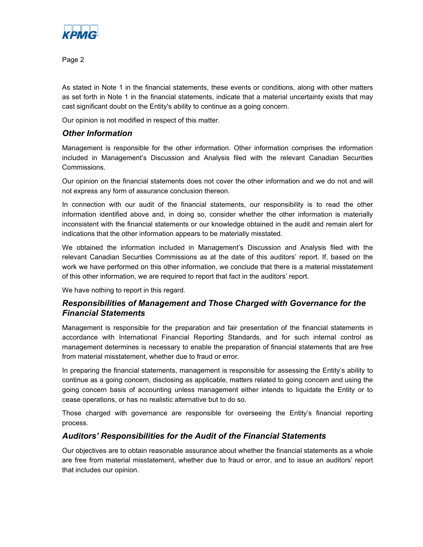

Page 2

As stated in Note 1 in the financial statements, these events or conditions, along with other matters as set forth in Note 1 in the financial statements, indicate that a material uncertainty exists that may cast significant doubt on the Entity's ability to continue as a going concern.

Our opinion is not modified in respect of this matter.

## *Other Information*

Management is responsible for the other information. Other information comprises the information included in Management's Discussion and Analysis filed with the relevant Canadian Securities Commissions.

Our opinion on the financial statements does not cover the other information and we do not and will not express any form of assurance conclusion thereon.

In connection with our audit of the financial statements, our responsibility is to read the other information identified above and, in doing so, consider whether the other information is materially inconsistent with the financial statements or our knowledge obtained in the audit and remain alert for indications that the other information appears to be materially misstated.

We obtained the information included in Management's Discussion and Analysis filed with the relevant Canadian Securities Commissions as at the date of this auditors' report. If, based on the work we have performed on this other information, we conclude that there is a material misstatement of this other information, we are required to report that fact in the auditors' report.

We have nothing to report in this regard.

## *Responsibilities of Management and Those Charged with Governance for the Financial Statements*

Management is responsible for the preparation and fair presentation of the financial statements in accordance with International Financial Reporting Standards, and for such internal control as management determines is necessary to enable the preparation of financial statements that are free from material misstatement, whether due to fraud or error.

In preparing the financial statements, management is responsible for assessing the Entity's ability to continue as a going concern, disclosing as applicable, matters related to going concern and using the going concern basis of accounting unless management either intends to liquidate the Entity or to cease operations, or has no realistic alternative but to do so.

Those charged with governance are responsible for overseeing the Entity's financial reporting process.

## *Auditors' Responsibilities for the Audit of the Financial Statements*

Our objectives are to obtain reasonable assurance about whether the financial statements as a whole are free from material misstatement, whether due to fraud or error, and to issue an auditors' report that includes our opinion.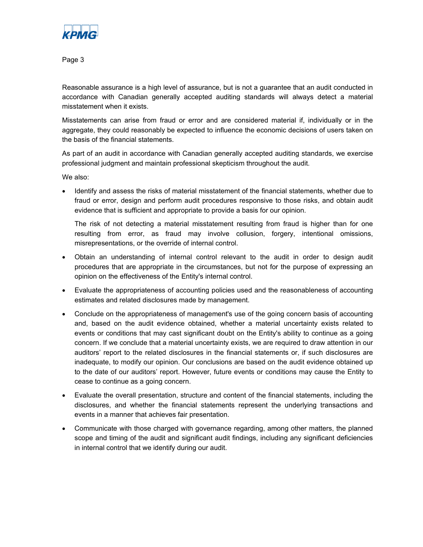

Page 3

Reasonable assurance is a high level of assurance, but is not a guarantee that an audit conducted in accordance with Canadian generally accepted auditing standards will always detect a material misstatement when it exists.

Misstatements can arise from fraud or error and are considered material if, individually or in the aggregate, they could reasonably be expected to influence the economic decisions of users taken on the basis of the financial statements.

As part of an audit in accordance with Canadian generally accepted auditing standards, we exercise professional judgment and maintain professional skepticism throughout the audit.

We also:

• Identify and assess the risks of material misstatement of the financial statements, whether due to fraud or error, design and perform audit procedures responsive to those risks, and obtain audit evidence that is sufficient and appropriate to provide a basis for our opinion.

The risk of not detecting a material misstatement resulting from fraud is higher than for one resulting from error, as fraud may involve collusion, forgery, intentional omissions, misrepresentations, or the override of internal control.

- Obtain an understanding of internal control relevant to the audit in order to design audit procedures that are appropriate in the circumstances, but not for the purpose of expressing an opinion on the effectiveness of the Entity's internal control.
- Evaluate the appropriateness of accounting policies used and the reasonableness of accounting estimates and related disclosures made by management.
- Conclude on the appropriateness of management's use of the going concern basis of accounting and, based on the audit evidence obtained, whether a material uncertainty exists related to events or conditions that may cast significant doubt on the Entity's ability to continue as a going concern. If we conclude that a material uncertainty exists, we are required to draw attention in our auditors' report to the related disclosures in the financial statements or, if such disclosures are inadequate, to modify our opinion. Our conclusions are based on the audit evidence obtained up to the date of our auditors' report. However, future events or conditions may cause the Entity to cease to continue as a going concern.
- Evaluate the overall presentation, structure and content of the financial statements, including the disclosures, and whether the financial statements represent the underlying transactions and events in a manner that achieves fair presentation.
- Communicate with those charged with governance regarding, among other matters, the planned scope and timing of the audit and significant audit findings, including any significant deficiencies in internal control that we identify during our audit.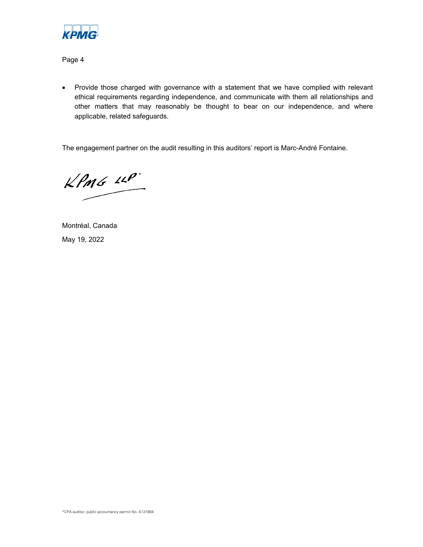

Page 4

• Provide those charged with governance with a statement that we have complied with relevant ethical requirements regarding independence, and communicate with them all relationships and other matters that may reasonably be thought to bear on our independence, and where applicable, related safeguards.

The engagement partner on the audit resulting in this auditors' report is Marc-André Fontaine.

 $k$ *PMG*  $\mu$ P

Montréal, Canada May 19, 2022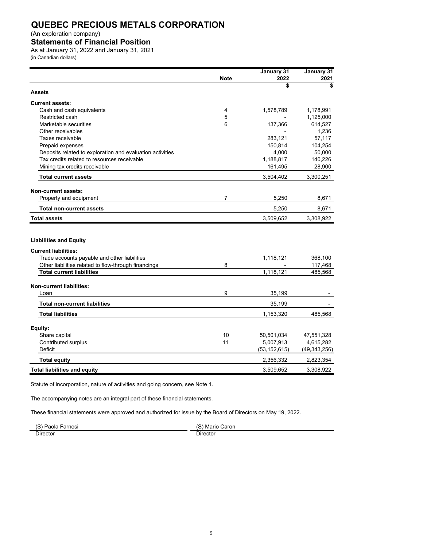(An exploration company)

## **Statements of Financial Position**

As at January 31, 2022 and January 31, 2021

(in Canadian dollars)

|                                                           | <b>Note</b> | 2022           | January 31<br>2021 |
|-----------------------------------------------------------|-------------|----------------|--------------------|
|                                                           |             | \$             | \$                 |
| <b>Assets</b>                                             |             |                |                    |
| <b>Current assets:</b>                                    |             |                |                    |
| Cash and cash equivalents                                 | 4           | 1,578,789      | 1,178,991          |
| Restricted cash                                           | 5           |                | 1,125,000          |
| Marketable securities                                     | 6           | 137,366        | 614,527            |
| Other receivables                                         |             |                | 1,236              |
| Taxes receivable                                          |             | 283.121        | 57,117             |
| Prepaid expenses                                          |             | 150,814        | 104,254            |
| Deposits related to exploration and evaluation activities |             | 4,000          | 50,000             |
| Tax credits related to resources receivable               |             | 1,188,817      | 140,226            |
| Mining tax credits receivable                             |             | 161,495        | 28,900             |
| <b>Total current assets</b>                               |             | 3,504,402      | 3,300,251          |
| <b>Non-current assets:</b>                                |             |                |                    |
| Property and equipment                                    | 7           | 5,250          | 8,671              |
| <b>Total non-current assets</b>                           |             | 5.250          | 8,671              |
| <b>Total assets</b>                                       |             | 3,509,652      | 3,308,922          |
|                                                           |             |                |                    |
|                                                           |             |                |                    |
| <b>Liabilities and Equity</b>                             |             |                |                    |
| <b>Current liabilities:</b>                               |             |                |                    |
| Trade accounts payable and other liabilities              |             | 1,118,121      | 368,100            |
| Other liabilities related to flow-through financings      | 8           |                | 117,468            |
| <b>Total current liabilities</b>                          |             | 1,118,121      | 485,568            |
| <b>Non-current liabilities:</b>                           |             |                |                    |
| Loan                                                      | 9           | 35.199         |                    |
| <b>Total non-current liabilities</b>                      |             | 35,199         |                    |
| <b>Total liabilities</b>                                  |             | 1,153,320      | 485,568            |
|                                                           |             |                |                    |
| Equity:                                                   |             |                |                    |
| Share capital                                             | 10          | 50,501,034     | 47,551,328         |
| Contributed surplus                                       | 11          | 5,007,913      | 4,615,282          |
| Deficit                                                   |             | (53, 152, 615) | (49, 343, 256)     |
| <b>Total equity</b>                                       |             | 2,356,332      | 2,823,354          |
| <b>Total liabilities and equity</b>                       |             | 3,509,652      | 3,308,922          |

Statute of incorporation, nature of activities and going concern, see Note 1.

The accompanying notes are an integral part of these financial statements.

These financial statements were approved and authorized for issue by the Board of Directors on May 19, 2022.

| S)<br>⊦arnesı<br>aola<br>. . | Caron<br>Maric<br>ত |
|------------------------------|---------------------|
| $D$ irector                  | $D$ rector          |
|                              |                     |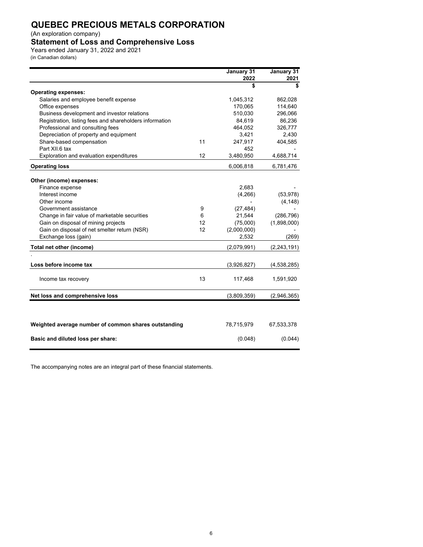(An exploration company)

## **Statement of Loss and Comprehensive Loss**

Years ended January 31, 2022 and 2021 (in Canadian dollars)

|                                                         |    | January 31  | January 31    |
|---------------------------------------------------------|----|-------------|---------------|
|                                                         |    | 2022        | 2021          |
|                                                         |    | \$          | \$            |
| <b>Operating expenses:</b>                              |    |             |               |
| Salaries and employee benefit expense                   |    | 1,045,312   | 862,028       |
| Office expenses                                         |    | 170,065     | 114,640       |
| Business development and investor relations             |    | 510,030     | 296,066       |
| Registration, listing fees and shareholders information |    | 84,619      | 86,236        |
| Professional and consulting fees                        |    | 464,052     | 326,777       |
| Depreciation of property and equipment                  |    | 3,421       | 2,430         |
| Share-based compensation                                | 11 | 247,917     | 404,585       |
| Part XII.6 tax                                          |    | 452         |               |
| Exploration and evaluation expenditures                 | 12 | 3,480,950   | 4,688,714     |
| <b>Operating loss</b>                                   |    | 6,006,818   | 6,781,476     |
| Other (income) expenses:                                |    |             |               |
| Finance expense                                         |    | 2,683       |               |
| Interest income                                         |    | (4,266)     | (53, 978)     |
| Other income                                            |    |             | (4, 148)      |
| Government assistance                                   | 9  | (27, 484)   |               |
| Change in fair value of marketable securities           | 6  | 21,544      | (286, 796)    |
| Gain on disposal of mining projects                     | 12 | (75,000)    | (1,898,000)   |
| Gain on disposal of net smelter return (NSR)            | 12 | (2,000,000) |               |
| Exchange loss (gain)                                    |    | 2,532       | (269)         |
|                                                         |    |             |               |
| Total net other (income)                                |    | (2,079,991) | (2, 243, 191) |
|                                                         |    |             |               |
| Loss before income tax                                  |    | (3,926,827) | (4,538,285)   |
| Income tax recovery                                     | 13 | 117,468     | 1,591,920     |
| Net loss and comprehensive loss                         |    | (3,809,359) | (2,946,365)   |
|                                                         |    |             |               |
| Weighted average number of common shares outstanding    |    | 78,715,979  | 67,533,378    |
| Basic and diluted loss per share:                       |    | (0.048)     | (0.044)       |

The accompanying notes are an integral part of these financial statements.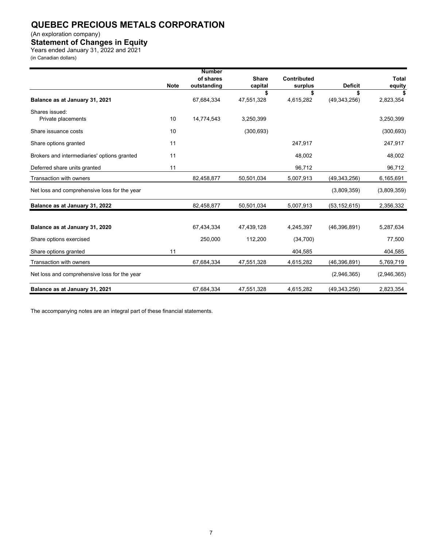(An exploration company)

## **Statement of Changes in Equity**

Years ended January 31, 2022 and 2021

(in Canadian dollars)

|                                              |             | <b>Number</b> |                  |                    |                      |                 |
|----------------------------------------------|-------------|---------------|------------------|--------------------|----------------------|-----------------|
|                                              |             | of shares     | <b>Share</b>     | <b>Contributed</b> |                      | <b>Total</b>    |
|                                              | <b>Note</b> | outstanding   | capital          | surplus            | <b>Deficit</b>       | equity          |
| Balance as at January 31, 2021               |             | 67,684,334    | \$<br>47,551,328 | \$<br>4,615,282    | \$<br>(49, 343, 256) | \$<br>2,823,354 |
| Shares issued:<br>Private placements         | 10          | 14,774,543    | 3,250,399        |                    |                      | 3,250,399       |
|                                              |             |               |                  |                    |                      |                 |
| Share issuance costs                         | 10          |               | (300, 693)       |                    |                      | (300, 693)      |
| Share options granted                        | 11          |               |                  | 247,917            |                      | 247,917         |
| Brokers and intermediaries' options granted  | 11          |               |                  | 48,002             |                      | 48,002          |
| Deferred share units granted                 | 11          |               |                  | 96,712             |                      | 96,712          |
| <b>Transaction with owners</b>               |             | 82,458,877    | 50,501,034       | 5,007,913          | (49, 343, 256)       | 6,165,691       |
| Net loss and comprehensive loss for the year |             |               |                  |                    | (3,809,359)          | (3,809,359)     |
| Balance as at January 31, 2022               |             | 82,458,877    | 50,501,034       | 5,007,913          | (53, 152, 615)       | 2,356,332       |
| Balance as at January 31, 2020               |             | 67,434,334    | 47,439,128       | 4,245,397          | (46, 396, 891)       | 5,287,634       |
| Share options exercised                      |             | 250,000       | 112,200          | (34,700)           |                      | 77,500          |
| Share options granted                        | 11          |               |                  | 404,585            |                      | 404,585         |
| <b>Transaction with owners</b>               |             | 67,684,334    | 47,551,328       | 4,615,282          | (46, 396, 891)       | 5,769,719       |
| Net loss and comprehensive loss for the year |             |               |                  |                    | (2,946,365)          | (2,946,365)     |
| Balance as at January 31, 2021               |             | 67,684,334    | 47,551,328       | 4,615,282          | (49, 343, 256)       | 2,823,354       |

The accompanying notes are an integral part of these financial statements.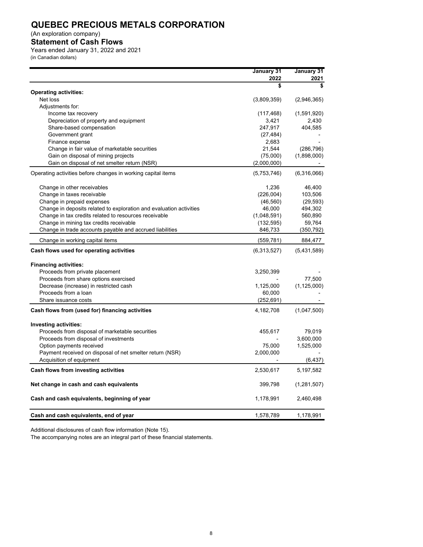(An exploration company)

### **Statement of Cash Flows**

Years ended January 31, 2022 and 2021 (in Canadian dollars)

|                                                                     | January 31  | January 31    |
|---------------------------------------------------------------------|-------------|---------------|
|                                                                     | 2022        | 2021          |
|                                                                     | \$          | \$            |
| <b>Operating activities:</b>                                        |             |               |
| Net loss                                                            | (3,809,359) | (2,946,365)   |
| Adjustments for:                                                    |             |               |
| Income tax recovery                                                 | (117, 468)  | (1,591,920)   |
| Depreciation of property and equipment                              | 3,421       | 2,430         |
| Share-based compensation                                            | 247,917     | 404,585       |
| Government grant                                                    | (27, 484)   |               |
| Finance expense                                                     | 2,683       |               |
| Change in fair value of marketable securities                       | 21,544      | (286, 796)    |
| Gain on disposal of mining projects                                 | (75,000)    | (1,898,000)   |
| Gain on disposal of net smelter return (NSR)                        | (2,000,000) |               |
| Operating activities before changes in working capital items        | (5,753,746) | (6,316,066)   |
| Change in other receivables                                         | 1,236       | 46,400        |
| Change in taxes receivable                                          | (226,004)   | 103,506       |
| Change in prepaid expenses                                          | (46, 560)   | (29, 593)     |
| Change in deposits related to exploration and evaluation activities | 46,000      | 494,302       |
| Change in tax credits related to resources receivable               | (1,048,591) | 560,890       |
| Change in mining tax credits receivable                             | (132, 595)  | 59,764        |
| Change in trade accounts payable and accrued liabilities            | 846,733     | (350,792)     |
| Change in working capital items                                     | (559, 781)  | 884,477       |
| Cash flows used for operating activities                            | (6,313,527) | (5,431,589)   |
| <b>Financing activities:</b>                                        |             |               |
| Proceeds from private placement                                     | 3,250,399   |               |
| Proceeds from share options exercised                               |             | 77,500        |
| Decrease (increase) in restricted cash                              | 1,125,000   | (1, 125, 000) |
| Proceeds from a loan                                                | 60,000      |               |
| Share issuance costs                                                | (252, 691)  |               |
| Cash flows from (used for) financing activities                     | 4,182,708   | (1,047,500)   |
|                                                                     |             |               |
| Investing activities:                                               |             |               |
| Proceeds from disposal of marketable securities                     | 455,617     | 79,019        |
| Proceeds from disposal of investments                               |             | 3,600,000     |
| Option payments received                                            | 75,000      | 1,525,000     |
| Payment received on disposal of net smelter return (NSR)            | 2,000,000   |               |
| Acquisition of equipment                                            |             | (6, 437)      |
| Cash flows from investing activities                                | 2,530,617   | 5,197,582     |
| Net change in cash and cash equivalents                             | 399,798     | (1,281,507)   |
| Cash and cash equivalents, beginning of year                        | 1,178,991   | 2,460,498     |
| Cash and cash equivalents, end of year                              | 1,578,789   | 1,178,991     |

Additional disclosures of cash flow information (Note 15).

The accompanying notes are an integral part of these financial statements.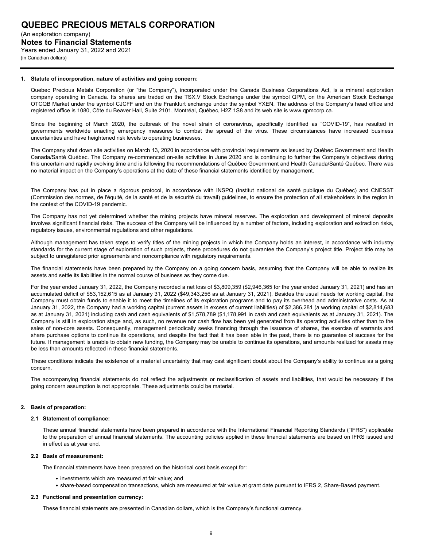#### **1. Statute of incorporation, nature of activities and going concern:**

Quebec Precious Metals Corporation (or "the Company"), incorporated under the Canada Business Corporations Act, is a mineral exploration company operating in Canada. Its shares are traded on the TSX.V Stock Exchange under the symbol QPM, on the American Stock Exchange OTCQB Market under the symbol CJCFF and on the Frankfurt exchange under the symbol YXEN. The address of the Company's head office and registered office is 1080, Côte du Beaver Hall, Suite 2101, Montréal, Québec, H2Z 1S8 and its web site is www.qpmcorp.ca.

Since the beginning of March 2020, the outbreak of the novel strain of coronavirus, specifically identified as "COVID-19", has resulted in governments worldwide enacting emergency measures to combat the spread of the virus. These circumstances have increased business uncertainties and have heightened risk levels to operating businesses.

The Company shut down site activities on March 13, 2020 in accordance with provincial requirements as issued by Québec Government and Health Canada/Santé Québec. The Company re-commenced on-site activities in June 2020 and is continuing to further the Company's objectives during this uncertain and rapidly evolving time and is following the recommendations of Québec Government and Health Canada/Santé Québec. There was no material impact on the Company's operations at the date of these financial statements identified by management.

The Company has put in place a rigorous protocol, in accordance with INSPQ (Institut national de santé publique du Québec) and CNESST (Commission des normes, de l'équité, de la santé et de la sécurité du travail) guidelines, to ensure the protection of all stakeholders in the region in the context of the COVID-19 pandemic.

The Company has not yet determined whether the mining projects have mineral reserves. The exploration and development of mineral deposits involves significant financial risks. The success of the Company will be influenced by a number of factors, including exploration and extraction risks, regulatory issues, environmental regulations and other regulations.

Although management has taken steps to verify titles of the mining projects in which the Company holds an interest, in accordance with industry standards for the current stage of exploration of such projects, these procedures do not guarantee the Company's project title. Project title may be subject to unregistered prior agreements and noncompliance with regulatory requirements.

The financial statements have been prepared by the Company on a going concern basis, assuming that the Company will be able to realize its assets and settle its liabilities in the normal course of business as they come due.

For the year ended January 31, 2022, the Company recorded a net loss of \$3,809,359 (\$2,946,365 for the year ended January 31, 2021) and has an accumulated deficit of \$53,152,615 as at January 31, 2022 (\$49,343,256 as at January 31, 2021). Besides the usual needs for working capital, the Company must obtain funds to enable it to meet the timelines of its exploration programs and to pay its overhead and administrative costs. As at January 31, 2022, the Company had a working capital (current assets in excess of current liabilities) of \$2,386,281 (a working capital of \$2,814,683 as at January 31, 2021) including cash and cash equivalents of \$1,578,789 (\$1,178,991 in cash and cash equivalents as at January 31, 2021). The Company is still in exploration stage and, as such, no revenue nor cash flow has been yet generated from its operating activities other than to the sales of non-core assets. Consequently, management periodically seeks financing through the issuance of shares, the exercise of warrants and share purchase options to continue its operations, and despite the fact that it has been able in the past, there is no guarantee of success for the future. If management is unable to obtain new funding, the Company may be unable to continue its operations, and amounts realized for assets may be less than amounts reflected in these financial statements.

These conditions indicate the existence of a material uncertainty that may cast significant doubt about the Company's ability to continue as a going concern.

The accompanying financial statements do not reflect the adjustments or reclassification of assets and liabilities, that would be necessary if the going concern assumption is not appropriate. These adjustments could be material.

#### **2. Basis of preparation:**

#### **2.1 Statement of compliance:**

These annual financial statements have been prepared in accordance with the International Financial Reporting Standards ("IFRS") applicable to the preparation of annual financial statements. The accounting policies applied in these financial statements are based on IFRS issued and in effect as at year end.

#### **2.2 Basis of measurement:**

The financial statements have been prepared on the historical cost basis except for:

- investments which are measured at fair value; and
- share-based compensation transactions, which are measured at fair value at grant date pursuant to IFRS 2, Share-Based payment.

#### **2.3 Functional and presentation currency:**

These financial statements are presented in Canadian dollars, which is the Company's functional currency.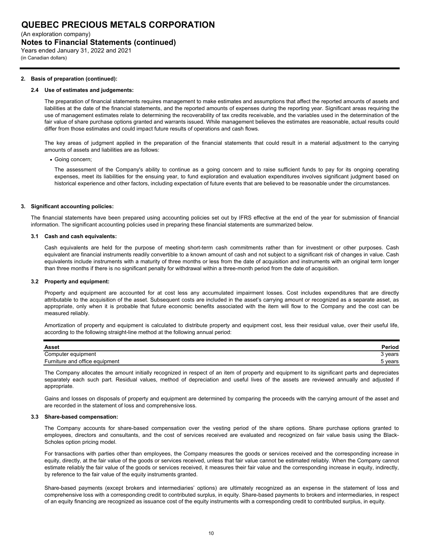## **Notes to Financial Statements (continued)**

Years ended January 31, 2022 and 2021

(in Canadian dollars)

## **2. Basis of preparation (continued):**

## **2.4 Use of estimates and judgements:**

The preparation of financial statements requires management to make estimates and assumptions that affect the reported amounts of assets and liabilities at the date of the financial statements, and the reported amounts of expenses during the reporting year. Significant areas requiring the use of management estimates relate to determining the recoverability of tax credits receivable, and the variables used in the determination of the fair value of share purchase options granted and warrants issued. While management believes the estimates are reasonable, actual results could differ from those estimates and could impact future results of operations and cash flows.

The key areas of judgment applied in the preparation of the financial statements that could result in a material adjustment to the carrying amounts of assets and liabilities are as follows:

• Going concern;

The assessment of the Company's ability to continue as a going concern and to raise sufficient funds to pay for its ongoing operating expenses, meet its liabilities for the ensuing year, to fund exploration and evaluation expenditures involves significant judgment based on historical experience and other factors, including expectation of future events that are believed to be reasonable under the circumstances.

#### **3. Significant accounting policies:**

The financial statements have been prepared using accounting policies set out by IFRS effective at the end of the year for submission of financial information. The significant accounting policies used in preparing these financial statements are summarized below.

#### **3.1 Cash and cash equivalents:**

Cash equivalents are held for the purpose of meeting short-term cash commitments rather than for investment or other purposes. Cash equivalent are financial instruments readily convertible to a known amount of cash and not subject to a significant risk of changes in value. Cash equivalents include instruments with a maturity of three months or less from the date of acquisition and instruments with an original term longer than three months if there is no significant penalty for withdrawal within a three-month period from the date of acquisition.

#### **3.2 Property and equipment:**

Property and equipment are accounted for at cost less any accumulated impairment losses. Cost includes expenditures that are directly attributable to the acquisition of the asset. Subsequent costs are included in the asset's carrying amount or recognized as a separate asset, as appropriate, only when it is probable that future economic benefits associated with the item will flow to the Company and the cost can be measured reliably.

Amortization of property and equipment is calculated to distribute property and equipment cost, less their residual value, over their useful life, according to the following straight-line method at the following annual period:

| Asset                          | Period |
|--------------------------------|--------|
| Computer equipment             | vears  |
| Furniture and office equipment | vears  |

The Company allocates the amount initially recognized in respect of an item of property and equipment to its significant parts and depreciates separately each such part. Residual values, method of depreciation and useful lives of the assets are reviewed annually and adjusted if appropriate.

Gains and losses on disposals of property and equipment are determined by comparing the proceeds with the carrying amount of the asset and are recorded in the statement of loss and comprehensive loss.

#### **3.3 Share-based compensation:**

The Company accounts for share-based compensation over the vesting period of the share options. Share purchase options granted to employees, directors and consultants, and the cost of services received are evaluated and recognized on fair value basis using the Black-Scholes option pricing model.

For transactions with parties other than employees, the Company measures the goods or services received and the corresponding increase in equity, directly, at the fair value of the goods or services received, unless that fair value cannot be estimated reliably. When the Company cannot estimate reliably the fair value of the goods or services received, it measures their fair value and the corresponding increase in equity, indirectly, by reference to the fair value of the equity instruments granted.

Share-based payments (except brokers and intermediaries' options) are ultimately recognized as an expense in the statement of loss and comprehensive loss with a corresponding credit to contributed surplus, in equity. Share-based payments to brokers and intermediaries, in respect of an equity financing are recognized as issuance cost of the equity instruments with a corresponding credit to contributed surplus, in equity.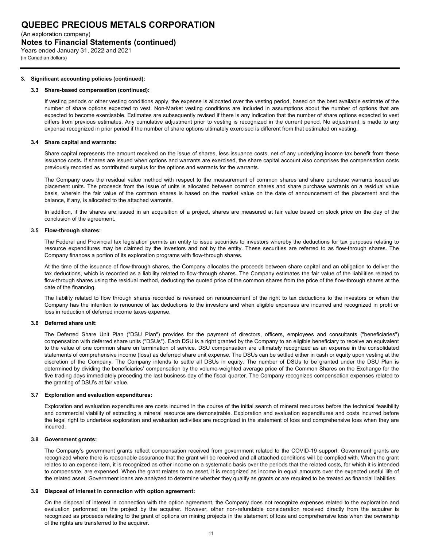## **Notes to Financial Statements (continued)**

Years ended January 31, 2022 and 2021 (in Canadian dollars)

## **3. Significant accounting policies (continued):**

## **3.3 Share-based compensation (continued):**

If vesting periods or other vesting conditions apply, the expense is allocated over the vesting period, based on the best available estimate of the number of share options expected to vest. Non-Market vesting conditions are included in assumptions about the number of options that are expected to become exercisable. Estimates are subsequently revised if there is any indication that the number of share options expected to vest differs from previous estimates. Any cumulative adjustment prior to vesting is recognized in the current period. No adjustment is made to any expense recognized in prior period if the number of share options ultimately exercised is different from that estimated on vesting.

## **3.4 Share capital and warrants:**

Share capital represents the amount received on the issue of shares, less issuance costs, net of any underlying income tax benefit from these issuance costs. If shares are issued when options and warrants are exercised, the share capital account also comprises the compensation costs previously recorded as contributed surplus for the options and warrants for the warrants.

The Company uses the residual value method with respect to the measurement of common shares and share purchase warrants issued as placement units. The proceeds from the issue of units is allocated between common shares and share purchase warrants on a residual value basis, wherein the fair value of the common shares is based on the market value on the date of announcement of the placement and the balance, if any, is allocated to the attached warrants.

In addition, if the shares are issued in an acquisition of a project, shares are measured at fair value based on stock price on the day of the conclusion of the agreement.

#### **3.5 Flow-through shares:**

The Federal and Provincial tax legislation permits an entity to issue securities to investors whereby the deductions for tax purposes relating to resource expenditures may be claimed by the investors and not by the entity. These securities are referred to as flow-through shares. The Company finances a portion of its exploration programs with flow-through shares.

At the time of the issuance of flow-through shares, the Company allocates the proceeds between share capital and an obligation to deliver the tax deductions, which is recorded as a liability related to flow-through shares. The Company estimates the fair value of the liabilities related to flow-through shares using the residual method, deducting the quoted price of the common shares from the price of the flow-through shares at the date of the financing.

The liability related to flow through shares recorded is reversed on renouncement of the right to tax deductions to the investors or when the Company has the intention to renounce of tax deductions to the investors and when eligible expenses are incurred and recognized in profit or loss in reduction of deferred income taxes expense.

#### **3.6 Deferred share unit:**

The Deferred Share Unit Plan ("DSU Plan") provides for the payment of directors, officers, employees and consultants ("beneficiaries") compensation with deferred share units ("DSUs"). Each DSU is a right granted by the Company to an eligible beneficiary to receive an equivalent to the value of one common share on termination of service. DSU compensation are ultimately recognized as an expense in the consolidated statements of comprehensive income (loss) as deferred share unit expense. The DSUs can be settled either in cash or equity upon vesting at the discretion of the Company. The Company intends to settle all DSUs in equity. The number of DSUs to be granted under the DSU Plan is determined by dividing the beneficiaries' compensation by the volume-weighted average price of the Common Shares on the Exchange for the five trading days immediately preceding the last business day of the fiscal quarter. The Company recognizes compensation expenses related to the granting of DSU's at fair value.

#### **3.7 Exploration and evaluation expenditures:**

Exploration and evaluation expenditures are costs incurred in the course of the initial search of mineral resources before the technical feasibility and commercial viability of extracting a mineral resource are demonstrable. Exploration and evaluation expenditures and costs incurred before the legal right to undertake exploration and evaluation activities are recognized in the statement of loss and comprehensive loss when they are incurred.

#### **3.8 Government grants:**

The Company's government grants reflect compensation received from government related to the COVID-19 support. Government grants are recognized where there is reasonable assurance that the grant will be received and all attached conditions will be complied with. When the grant relates to an expense item, it is recognized as other income on a systematic basis over the periods that the related costs, for which it is intended to compensate, are expensed. When the grant relates to an asset, it is recognized as income in equal amounts over the expected useful life of the related asset. Government loans are analyzed to determine whether they qualify as grants or are required to be treated as financial liabilities.

#### **3.9 Disposal of interest in connection with option agreement:**

On the disposal of interest in connection with the option agreement, the Company does not recognize expenses related to the exploration and evaluation performed on the project by the acquirer. However, other non-refundable consideration received directly from the acquirer is recognized as proceeds relating to the grant of options on mining projects in the statement of loss and comprehensive loss when the ownership of the rights are transferred to the acquirer.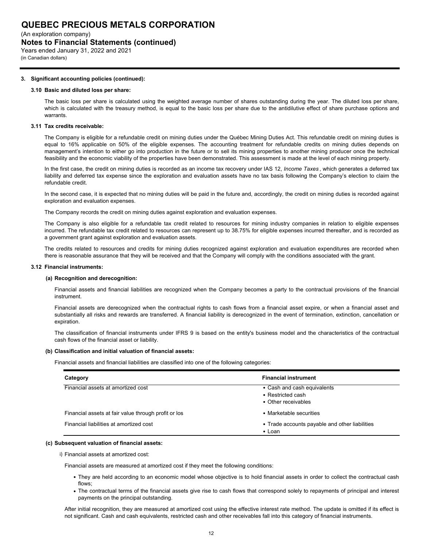(An exploration company)

### **Notes to Financial Statements (continued)**

Years ended January 31, 2022 and 2021 (in Canadian dollars)

#### **3. Significant accounting policies (continued):**

#### **3.10 Basic and diluted loss per share:**

The basic loss per share is calculated using the weighted average number of shares outstanding during the year. The diluted loss per share, which is calculated with the treasury method, is equal to the basic loss per share due to the antidilutive effect of share purchase options and warrants.

#### **3.11 Tax credits receivable:**

The Company is eligible for a refundable credit on mining duties under the Québec Mining Duties Act. This refundable credit on mining duties is equal to 16% applicable on 50% of the eligible expenses. The accounting treatment for refundable credits on mining duties depends on management's intention to either go into production in the future or to sell its mining properties to another mining producer once the technical feasibility and the economic viability of the properties have been demonstrated. This assessment is made at the level of each mining property.

In the first case, the credit on mining duties is recorded as an income tax recovery under IAS 12, *Income Taxes* , which generates a deferred tax liability and deferred tax expense since the exploration and evaluation assets have no tax basis following the Company's election to claim the refundable credit.

In the second case, it is expected that no mining duties will be paid in the future and, accordingly, the credit on mining duties is recorded against exploration and evaluation expenses.

The Company records the credit on mining duties against exploration and evaluation expenses.

The Company is also eligible for a refundable tax credit related to resources for mining industry companies in relation to eligible expenses incurred. The refundable tax credit related to resources can represent up to 38.75% for eligible expenses incurred thereafter, and is recorded as a government grant against exploration and evaluation assets.

The credits related to resources and credits for mining duties recognized against exploration and evaluation expenditures are recorded when there is reasonable assurance that they will be received and that the Company will comply with the conditions associated with the grant.

#### **3.12 Financial instruments:**

#### **(a) Recognition and derecognition:**

Financial assets and financial liabilities are recognized when the Company becomes a party to the contractual provisions of the financial instrument.

Financial assets are derecognized when the contractual rights to cash flows from a financial asset expire, or when a financial asset and substantially all risks and rewards are transferred. A financial liability is derecognized in the event of termination, extinction, cancellation or expiration.

The classification of financial instruments under IFRS 9 is based on the entity's business model and the characteristics of the contractual cash flows of the financial asset or liability.

#### **(b) Classification and initial valuation of financial assets:**

Financial assets and financial liabilities are classified into one of the following categories:

| Category                                             | <b>Financial instrument</b>                    |  |  |  |
|------------------------------------------------------|------------------------------------------------|--|--|--|
| Financial assets at amortized cost                   | • Cash and cash equivalents                    |  |  |  |
|                                                      | • Restricted cash                              |  |  |  |
|                                                      | • Other receivables                            |  |  |  |
| Financial assets at fair value through profit or los | • Marketable securities                        |  |  |  |
| Financial liabilities at amortized cost              | • Trade accounts payable and other liabilities |  |  |  |
|                                                      | $\cdot$ Loan                                   |  |  |  |

#### **(c) Subsequent valuation of financial assets:**

i) Financial assets at amortized cost:

Financial assets are measured at amortized cost if they meet the following conditions:

- They are held according to an economic model whose objective is to hold financial assets in order to collect the contractual cash flows;
- The contractual terms of the financial assets give rise to cash flows that correspond solely to repayments of principal and interest payments on the principal outstanding.

After initial recognition, they are measured at amortized cost using the effective interest rate method. The update is omitted if its effect is not significant. Cash and cash equivalents, restricted cash and other receivables fall into this category of financial instruments.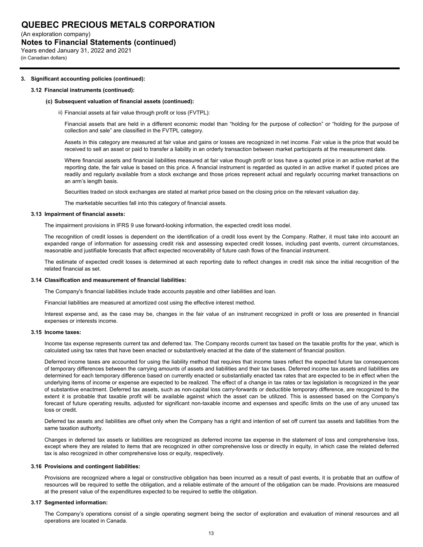(An exploration company)

## **Notes to Financial Statements (continued)**

Years ended January 31, 2022 and 2021 (in Canadian dollars)

## **3. Significant accounting policies (continued):**

### **3.12 Financial instruments (continued):**

## **(c) Subsequent valuation of financial assets (continued):**

ii) Financial assets at fair value through profit or loss (FVTPL):

Financial assets that are held in a different economic model than "holding for the purpose of collection" or "holding for the purpose of collection and sale" are classified in the FVTPL category.

Assets in this category are measured at fair value and gains or losses are recognized in net income. Fair value is the price that would be received to sell an asset or paid to transfer a liability in an orderly transaction between market participants at the measurement date.

Where financial assets and financial liabilities measured at fair value though profit or loss have a quoted price in an active market at the reporting date, the fair value is based on this price. A financial instrument is regarded as quoted in an active market if quoted prices are readily and regularly available from a stock exchange and those prices represent actual and regularly occurring market transactions on an arm's length basis.

Securities traded on stock exchanges are stated at market price based on the closing price on the relevant valuation day.

The marketable securities fall into this category of financial assets.

#### **3.13 Impairment of financial assets:**

The impairment provisions in IFRS 9 use forward-looking information, the expected credit loss model.

The recognition of credit losses is dependent on the identification of a credit loss event by the Company. Rather, it must take into account an expanded range of information for assessing credit risk and assessing expected credit losses, including past events, current circumstances, reasonable and justifiable forecasts that affect expected recoverability of future cash flows of the financial instrument.

The estimate of expected credit losses is determined at each reporting date to reflect changes in credit risk since the initial recognition of the related financial as set.

#### **3.14 Classification and measurement of financial liabilities:**

The Company's financial liabilities include trade accounts payable and other liabilities and loan.

Financial liabilities are measured at amortized cost using the effective interest method.

Interest expense and, as the case may be, changes in the fair value of an instrument recognized in profit or loss are presented in financial expenses or interests income.

#### **3.15 Income taxes:**

Income tax expense represents current tax and deferred tax. The Company records current tax based on the taxable profits for the year, which is calculated using tax rates that have been enacted or substantively enacted at the date of the statement of financial position.

Deferred income taxes are accounted for using the liability method that requires that income taxes reflect the expected future tax consequences of temporary differences between the carrying amounts of assets and liabilities and their tax bases. Deferred income tax assets and liabilities are determined for each temporary difference based on currently enacted or substantially enacted tax rates that are expected to be in effect when the underlying items of income or expense are expected to be realized. The effect of a change in tax rates or tax legislation is recognized in the year of substantive enactment. Deferred tax assets, such as non-capital loss carry-forwards or deductible temporary difference, are recognized to the extent it is probable that taxable profit will be available against which the asset can be utilized. This is assessed based on the Company's forecast of future operating results, adjusted for significant non-taxable income and expenses and specific limits on the use of any unused tax loss or credit.

Deferred tax assets and liabilities are offset only when the Company has a right and intention of set off current tax assets and liabilities from the same taxation authority.

Changes in deferred tax assets or liabilities are recognized as deferred income tax expense in the statement of loss and comprehensive loss, except where they are related to items that are recognized in other comprehensive loss or directly in equity, in which case the related deferred tax is also recognized in other comprehensive loss or equity, respectively.

#### **3.16 Provisions and contingent liabilities:**

Provisions are recognized where a legal or constructive obligation has been incurred as a result of past events, it is probable that an outflow of resources will be required to settle the obligation, and a reliable estimate of the amount of the obligation can be made. Provisions are measured at the present value of the expenditures expected to be required to settle the obligation.

#### **3.17 Segmented information:**

The Company's operations consist of a single operating segment being the sector of exploration and evaluation of mineral resources and all operations are located in Canada.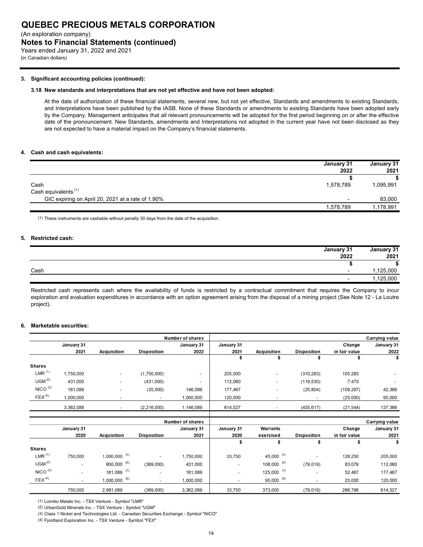## **Notes to Financial Statements (continued)**

Years ended January 31, 2022 and 2021

(in Canadian dollars)

#### **3. Significant accounting policies (continued):**

#### **3.18 New standards and interpretations that are not yet effective and have not been adopted:**

At the date of authorization of these financial statements, several new, but not yet effective, Standards and amendments to existing Standards, and Interpretations have been published by the IASB. None of these Standards or amendments to existing Standards have been adopted early by the Company. Management anticipates that all relevant pronouncements will be adopted for the first period beginning on or after the effective date of the pronouncement. New Standards, amendments and Interpretations not adopted in the current year have not been disclosed as they are not expected to have a material impact on the Company's financial statements.

#### **4. Cash and cash equivalents:**

| January 31                                   |
|----------------------------------------------|
| 2021                                         |
|                                              |
| 1,095,991                                    |
|                                              |
| 83,000                                       |
| 178,991                                      |
| January 31<br>2022<br>1.578.789<br>1,578,789 |

(1) These instruments are cashable without penalty 30 days from the date of the acquisition.

#### **5. Restricted cash:**

|      | January 31<br>2022       | January 31<br>2021 |
|------|--------------------------|--------------------|
|      |                          |                    |
| Cash | $\overline{\phantom{0}}$ | 1,125,000          |
|      | $\overline{\phantom{0}}$ | 1,125,000          |

Restricted cash represents cash where the availability of funds is restricted by a contractual commitment that requires the Company to incur exploration and evaluation expenditures in accordance with an option agreement arising from the disposal of a mining project (See Note 12 - La Loutre project).

#### **6. Marketable securities:**

|                     |                          |                            |                          | Number of shares |                          |                          |                          |               | <b>Carrying value</b>    |
|---------------------|--------------------------|----------------------------|--------------------------|------------------|--------------------------|--------------------------|--------------------------|---------------|--------------------------|
|                     | January 31               |                            |                          | January 31       | January 31               |                          |                          | Change        | January 31               |
|                     | 2021                     | <b>Acquisition</b>         | <b>Disposition</b>       | 2022             | 2021                     | Acquisition              | <b>Disposition</b>       | in fair value | 2022                     |
|                     |                          |                            |                          |                  | \$                       | \$                       |                          | S             |                          |
| <b>Shares</b>       |                          |                            |                          |                  |                          |                          |                          |               |                          |
| $LMR^{(1)}$         | 1,750,000                | $\overline{\phantom{a}}$   | (1,750,000)              |                  | 205,000                  | $\overline{\phantom{a}}$ | (310, 283)               | 105,283       |                          |
| UGM <sup>(2)</sup>  | 431,000                  | $\overline{\phantom{a}}$   | (431,000)                |                  | 112,060                  | $\overline{\phantom{a}}$ | (119, 530)               | 7,470         | $\overline{\phantom{a}}$ |
| NICO <sup>(3)</sup> | 181,089                  | $\overline{\phantom{a}}$   | (35,000)                 | 146,089          | 177,467                  | ٠                        | (25, 804)                | (109, 297)    | 42,366                   |
| FEX <sup>(4)</sup>  | 1,000,000                |                            |                          | 1,000,000        | 120,000                  | ٠                        |                          | (25,000)      | 95,000                   |
|                     | 3,362,089                |                            | (2,216,000)              | 1,146,089        | 614,527                  | $\overline{\phantom{a}}$ | (455, 617)               | (21, 544)     | 137,366                  |
|                     |                          |                            |                          | Number of shares |                          |                          |                          |               | <b>Carrying value</b>    |
|                     | January 31               |                            |                          | January 31       | January 31               | <b>Warrants</b>          |                          | Change        | January 31               |
|                     | 2020                     | <b>Acquisition</b>         | <b>Disposition</b>       | 2021             | 2020                     | exercised                | <b>Disposition</b>       | in fair value | 2021                     |
|                     |                          |                            |                          |                  | \$                       | \$                       | \$                       | \$            | \$                       |
| <b>Shares</b>       |                          |                            |                          |                  |                          |                          |                          |               |                          |
| LMR $(1)$           | 750,000                  | $1,000,000$ <sup>(5)</sup> | $\blacksquare$           | 1,750,000        | 33,750                   | 45,000 (5)               | $\overline{\phantom{m}}$ | 126,250       | 205,000                  |
| UGM <sup>(2)</sup>  | $\overline{\phantom{a}}$ | 800,000 (6)                | (369,000)                | 431,000          | $\sim$                   | $108,000^{-(6)}$         | (79, 019)                | 83,079        | 112,060                  |
| NICO <sup>(3)</sup> | $\overline{\phantom{a}}$ | $181,089$ <sup>(7)</sup>   |                          | 181,089          | $\overline{\phantom{a}}$ | $125,000^{(7)}$          | $\overline{a}$           | 52,467        | 177,467                  |
| FEX <sup>(4)</sup>  |                          | $1,000,000^{(8)}$          | $\overline{\phantom{a}}$ | 1,000,000        | $\overline{\phantom{0}}$ | $95,000^{(8)}$           | $\overline{\phantom{0}}$ | 25,000        | 120,000                  |
|                     | 750,000                  | 2,981,089                  | (369,000)                | 3,362,089        | 33,750                   | 373,000                  | (79, 019)                | 286,796       | 614,527                  |

(1) Lomiko Metals Inc. - TSX Venture - Symbol "LMR"

(2) UrbanGold Minerals Inc. - TSX Venture - Symbol "UGM"

(3) Class 1 Nickel and Technologies Ltd. - Canadian Securities Exchange - Symbol "NICO"

(4) Fjordland Exploration Inc. - TSX Venture - Symbol "FEX"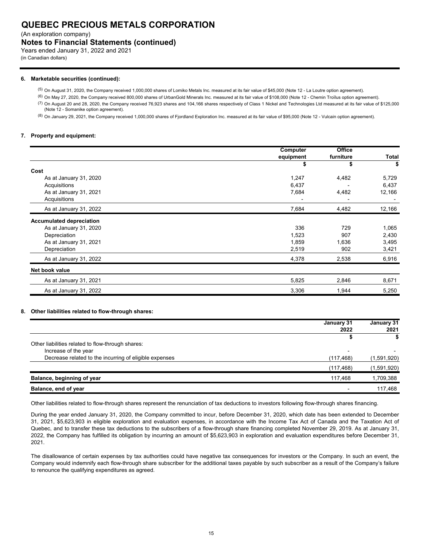## **Notes to Financial Statements (continued)**

Years ended January 31, 2022 and 2021

(in Canadian dollars)

## **6. Marketable securities (continued):**

 $^{(5)}$  On August 31, 2020, the Company received 1,000,000 shares of Lomiko Metals Inc. measured at its fair value of \$45,000 (Note 12 - La Loutre option agreement).

- $^{(6)}$  On May 27, 2020, the Company received 800,000 shares of UrbanGold Minerals Inc. measured at its fair value of \$108,000 (Note 12 Chemin Troïlus option agreement).
- (7) On August 20 and 28, 2020, the Company received 76,923 shares and 104,166 shares respectively of Class 1 Nickel and Technologies Ltd measured at its fair value of \$125,000 (Note 12 - Somanike option agreement).

 $^{(8)}$  On January 29, 2021, the Company received 1,000,000 shares of Fjordland Exploration Inc. measured at its fair value of \$95,000 (Note 12 - Vulcain option agreement).

## **7. Property and equipment:**

|                                 | Computer  | <b>Office</b> |        |
|---------------------------------|-----------|---------------|--------|
|                                 | equipment | furniture     | Total  |
|                                 | \$        | \$            | \$     |
| Cost                            |           |               |        |
| As at January 31, 2020          | 1,247     | 4,482         | 5,729  |
| Acquisitions                    | 6,437     |               | 6,437  |
| As at January 31, 2021          | 7,684     | 4,482         | 12,166 |
| Acquisitions                    |           |               |        |
| As at January 31, 2022          | 7,684     | 4,482         | 12,166 |
| <b>Accumulated depreciation</b> |           |               |        |
| As at January 31, 2020          | 336       | 729           | 1,065  |
| Depreciation                    | 1,523     | 907           | 2,430  |
| As at January 31, 2021          | 1,859     | 1,636         | 3,495  |
| Depreciation                    | 2,519     | 902           | 3,421  |
| As at January 31, 2022          | 4,378     | 2,538         | 6,916  |
| Net book value                  |           |               |        |
| As at January 31, 2021          | 5,825     | 2,846         | 8,671  |
| As at January 31, 2022          | 3,306     | 1,944         | 5,250  |

### **8. Other liabilities related to flow-through shares:**

|                                                        | January 31     | January 31<br>2021 |
|--------------------------------------------------------|----------------|--------------------|
|                                                        | 2022           |                    |
|                                                        |                |                    |
| Other liabilities related to flow-through shares:      |                |                    |
| Increase of the year                                   | $\blacksquare$ |                    |
| Decrease related to the incurring of eligible expenses | (117, 468)     | (1,591,920)        |
|                                                        | (117, 468)     | (1,591,920)        |
| Balance, beginning of year                             | 117.468        | 1,709,388          |
| Balance, end of year                                   | $\blacksquare$ | 117.468            |

Other liabilities related to flow-through shares represent the renunciation of tax deductions to investors following flow-through shares financing.

During the year ended January 31, 2020, the Company committed to incur, before December 31, 2020, which date has been extended to December 31, 2021, \$5,623,903 in eligible exploration and evaluation expenses, in accordance with the Income Tax Act of Canada and the Taxation Act of Quebec, and to transfer these tax deductions to the subscribers of a flow-through share financing completed November 29, 2019. As at January 31, 2022, the Company has fulfilled its obligation by incurring an amount of \$5,623,903 in exploration and evaluation expenditures before December 31, 2021.

The disallowance of certain expenses by tax authorities could have negative tax consequences for investors or the Company. In such an event, the Company would indemnify each flow-through share subscriber for the additional taxes payable by such subscriber as a result of the Company's failure to renounce the qualifying expenditures as agreed.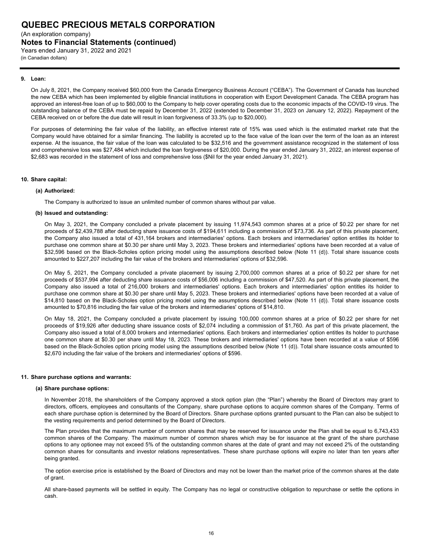(An exploration company)

### **Notes to Financial Statements (continued)**

Years ended January 31, 2022 and 2021 (in Canadian dollars)

#### **9. Loan:**

On July 8, 2021, the Company received \$60,000 from the Canada Emergency Business Account ("CEBA"). The Government of Canada has launched the new CEBA which has been implemented by eligible financial institutions in cooperation with Export Development Canada. The CEBA program has approved an interest-free loan of up to \$60,000 to the Company to help cover operating costs due to the economic impacts of the COVID-19 virus. The outstanding balance of the CEBA must be repaid by December 31, 2022 (extended to December 31, 2023 on January 12, 2022). Repayment of the CEBA received on or before the due date will result in loan forgiveness of 33.3% (up to \$20,000).

For purposes of determining the fair value of the liability, an effective interest rate of 15% was used which is the estimated market rate that the Company would have obtained for a similar financing. The liability is accreted up to the face value of the loan over the term of the loan as an interest expense. At the issuance, the fair value of the loan was calculated to be \$32,516 and the government assistance recognized in the statement of loss and comprehensive loss was \$27,484 which included the loan forgiveness of \$20,000. During the year ended January 31, 2022, an interest expense of \$2,683 was recorded in the statement of loss and comprehensive loss (\$Nil for the year ended January 31, 2021).

#### **10. Share capital:**

#### **(a) Authorized:**

The Company is authorized to issue an unlimited number of common shares without par value.

#### **(b) Issued and outstanding:**

On May 3, 2021, the Company concluded a private placement by issuing 11,974,543 common shares at a price of \$0.22 per share for net proceeds of \$2,439,788 after deducting share issuance costs of \$194,611 including a commission of \$73,736. As part of this private placement, the Company also issued a total of 431,164 brokers and intermediaries' options. Each brokers and intermediaries' option entitles its holder to purchase one common share at \$0.30 per share until May 3, 2023. These brokers and intermediaries' options have been recorded at a value of \$32,596 based on the Black-Scholes option pricing model using the assumptions described below (Note 11 (d)). Total share issuance costs amounted to \$227,207 including the fair value of the brokers and intermediaries' options of \$32,596.

On May 5, 2021, the Company concluded a private placement by issuing 2,700,000 common shares at a price of \$0.22 per share for net proceeds of \$537,994 after deducting share issuance costs of \$56,006 including a commission of \$47,520. As part of this private placement, the Company also issued a total of 216,000 brokers and intermediaries' options. Each brokers and intermediaries' option entitles its holder to purchase one common share at \$0.30 per share until May 5, 2023. These brokers and intermediaries' options have been recorded at a value of \$14,810 based on the Black-Scholes option pricing model using the assumptions described below (Note 11 (d)). Total share issuance costs amounted to \$70,816 including the fair value of the brokers and intermediaries' options of \$14,810.

On May 18, 2021, the Company concluded a private placement by issuing 100,000 common shares at a price of \$0.22 per share for net proceeds of \$19,926 after deducting share issuance costs of \$2,074 including a commission of \$1,760. As part of this private placement, the Company also issued a total of 8,000 brokers and intermediaries' options. Each brokers and intermediaries' option entitles its holder to purchase one common share at \$0.30 per share until May 18, 2023. These brokers and intermediaries' options have been recorded at a value of \$596 based on the Black-Scholes option pricing model using the assumptions described below (Note 11 (d)). Total share issuance costs amounted to \$2,670 including the fair value of the brokers and intermediaries' options of \$596.

#### **11. Share purchase options and warrants:**

#### **(a) Share purchase options:**

In November 2018, the shareholders of the Company approved a stock option plan (the "Plan") whereby the Board of Directors may grant to directors, officers, employees and consultants of the Company, share purchase options to acquire common shares of the Company. Terms of each share purchase option is determined by the Board of Directors. Share purchase options granted pursuant to the Plan can also be subject to the vesting requirements and period determined by the Board of Directors.

The Plan provides that the maximum number of common shares that may be reserved for issuance under the Plan shall be equal to 6,743,433 common shares of the Company. The maximum number of common shares which may be for issuance at the grant of the share purchase options to any optionee may not exceed 5% of the outstanding common shares at the date of grant and may not exceed 2% of the outstanding common shares for consultants and investor relations representatives. These share purchase options will expire no later than ten years after being granted.

The option exercise price is established by the Board of Directors and may not be lower than the market price of the common shares at the date of grant.

All share-based payments will be settled in equity. The Company has no legal or constructive obligation to repurchase or settle the options in cash.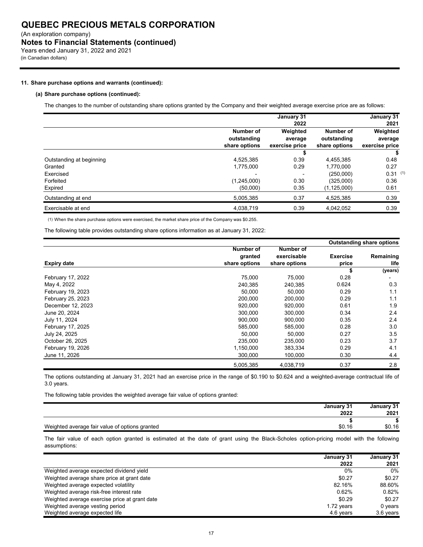## **Notes to Financial Statements (continued)**

Years ended January 31, 2022 and 2021 (in Canadian dollars)

#### **11. Share purchase options and warrants (continued):**

#### **(a) Share purchase options (continued):**

The changes to the number of outstanding share options granted by the Company and their weighted average exercise price are as follows:

|                          |                                           | January 31<br>2022                    |                                           | January 31<br>2021                    |
|--------------------------|-------------------------------------------|---------------------------------------|-------------------------------------------|---------------------------------------|
|                          | Number of<br>outstanding<br>share options | Weighted<br>average<br>exercise price | Number of<br>outstanding<br>share options | Weighted<br>average<br>exercise price |
|                          |                                           |                                       |                                           |                                       |
| Outstanding at beginning | 4,525,385                                 | 0.39                                  | 4,455,385                                 | 0.48                                  |
| Granted                  | 1,775,000                                 | 0.29                                  | 1.770.000                                 | 0.27                                  |
| Exercised                |                                           |                                       | (250,000)                                 | $0.31$ (1)                            |
| Forfeited                | (1, 245, 000)                             | 0.30                                  | (325,000)                                 | 0.36                                  |
| Expired                  | (50,000)                                  | 0.35                                  | (1, 125, 000)                             | 0.61                                  |
| Outstanding at end       | 5,005,385                                 | 0.37                                  | 4,525,385                                 | 0.39                                  |
| Exercisable at end       | 4,038,719                                 | 0.39                                  | 4.042.052                                 | 0.39                                  |

(1) When the share purchase options were exercised, the market share price of the Company was \$0.255.

The following table provides outstanding share options information as at January 31, 2022:

|                    |                                       |                                           |                 | <b>Outstanding share options</b> |
|--------------------|---------------------------------------|-------------------------------------------|-----------------|----------------------------------|
|                    | Number of<br>granted<br>share options | Number of<br>exercisable<br>share options | <b>Exercise</b> | Remaining<br>life                |
| <b>Expiry date</b> |                                       |                                           | price           |                                  |
|                    |                                       |                                           | \$              | (years)                          |
| February 17, 2022  | 75,000                                | 75,000                                    | 0.28            |                                  |
| May 4, 2022        | 240,385                               | 240,385                                   | 0.624           | 0.3                              |
| February 19, 2023  | 50.000                                | 50.000                                    | 0.29            | 1.1                              |
| February 25, 2023  | 200.000                               | 200,000                                   | 0.29            | 1.1                              |
| December 12, 2023  | 920,000                               | 920,000                                   | 0.61            | 1.9                              |
| June 20, 2024      | 300.000                               | 300,000                                   | 0.34            | 2.4                              |
| July 11, 2024      | 900.000                               | 900,000                                   | 0.35            | 2.4                              |
| February 17, 2025  | 585,000                               | 585,000                                   | 0.28            | 3.0                              |
| July 24, 2025      | 50.000                                | 50,000                                    | 0.27            | 3.5                              |
| October 26, 2025   | 235,000                               | 235,000                                   | 0.23            | 3.7                              |
| February 19, 2026  | 1,150,000                             | 383,334                                   | 0.29            | 4.1                              |
| June 11, 2026      | 300,000                               | 100,000                                   | 0.30            | 4.4                              |
|                    | 5.005.385                             | 4,038,719                                 | 0.37            | 2.8                              |

The options outstanding at January 31, 2021 had an exercise price in the range of \$0.190 to \$0.624 and a weighted-average contractual life of 3.0 years.

The following table provides the weighted average fair value of options granted:

| January 31                                               | January 31 |
|----------------------------------------------------------|------------|
| 2022                                                     | 2021       |
|                                                          |            |
| \$0.16<br>Weighted average fair value of options granted | \$0.16     |

The fair value of each option granted is estimated at the date of grant using the Black-Scholes option-pricing model with the following assumptions:

|                                               | January 31 | January 31 |
|-----------------------------------------------|------------|------------|
|                                               | 2022       | 2021       |
| Weighted average expected dividend yield      | 0%         | 0%         |
| Weighted average share price at grant date    | \$0.27     | \$0.27     |
| Weighted average expected volatility          | 82.16%     | 88.60%     |
| Weighted average risk-free interest rate      | 0.62%      | 0.82%      |
| Weighted average exercise price at grant date | \$0.29     | \$0.27     |
| Weighted average vesting period               | 1.72 years | $0$ years  |
| Weighted average expected life                | 4.6 years  | 3.6 years  |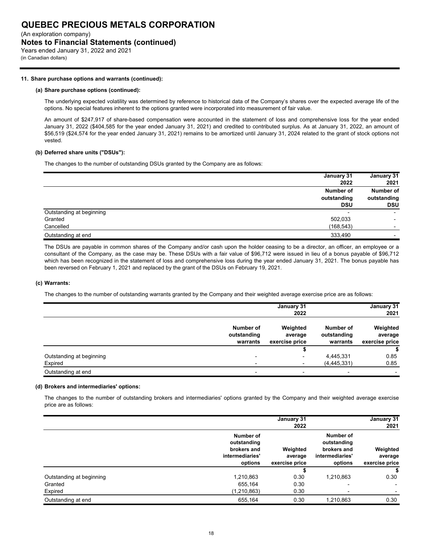## **Notes to Financial Statements (continued)**

Years ended January 31, 2022 and 2021 (in Canadian dollars)

## **11. Share purchase options and warrants (continued):**

### **(a) Share purchase options (continued):**

The underlying expected volatility was determined by reference to historical data of the Company's shares over the expected average life of the options. No special features inherent to the options granted were incorporated into measurement of fair value.

An amount of \$247,917 of share-based compensation were accounted in the statement of loss and comprehensive loss for the year ended January 31, 2022 (\$404,585 for the year ended January 31, 2021) and credited to contributed surplus. As at January 31, 2022, an amount of \$56,519 (\$24,574 for the year ended January 31, 2021) remains to be amortized until January 31, 2024 related to the grant of stock options not vested.

## **(b) Deferred share units ("DSUs"):**

The changes to the number of outstanding DSUs granted by the Company are as follows:

|                          | January 31<br>2022                     | January 31<br>2021                            |
|--------------------------|----------------------------------------|-----------------------------------------------|
|                          | Number of<br>outstanding<br><b>DSU</b> | <b>Number of</b><br>outstanding<br><b>DSU</b> |
| Outstanding at beginning | $\overline{\phantom{0}}$               | $\overline{\phantom{0}}$                      |
| Granted                  | 502,033                                | $\overline{\phantom{0}}$                      |
| Cancelled                | (168, 543)                             |                                               |
| Outstanding at end       | 333,490                                | -                                             |

The DSUs are payable in common shares of the Company and/or cash upon the holder ceasing to be a director, an officer, an employee or a consultant of the Company, as the case may be. These DSUs with a fair value of \$96,712 were issued in lieu of a bonus payable of \$96,712 which has been recognized in the statement of loss and comprehensive loss during the year ended January 31, 2021. The bonus payable has been reversed on February 1, 2021 and replaced by the grant of the DSUs on February 19, 2021.

### **(c) Warrants:**

The changes to the number of outstanding warrants granted by the Company and their weighted average exercise price are as follows:

|                          |                                      | January 31<br>2022                    |                                      | January 31<br>2021                    |
|--------------------------|--------------------------------------|---------------------------------------|--------------------------------------|---------------------------------------|
|                          | Number of<br>outstanding<br>warrants | Weighted<br>average<br>exercise price | Number of<br>outstanding<br>warrants | Weighted<br>average<br>exercise price |
|                          |                                      |                                       |                                      |                                       |
| Outstanding at beginning |                                      |                                       | 4,445,331                            | 0.85                                  |
| Expired                  |                                      |                                       | (4, 445, 331)                        | 0.85                                  |
| Outstanding at end       |                                      |                                       |                                      |                                       |

#### **(d) Brokers and intermediaries' options:**

The changes to the number of outstanding brokers and intermediaries' options granted by the Company and their weighted average exercise price are as follows:

|                          |                                                                       | January 31<br>2022                    |                                                                       | January 31<br>2021                    |
|--------------------------|-----------------------------------------------------------------------|---------------------------------------|-----------------------------------------------------------------------|---------------------------------------|
|                          | Number of<br>outstanding<br>brokers and<br>intermediaries'<br>options | Weighted<br>average<br>exercise price | Number of<br>outstanding<br>brokers and<br>intermediaries'<br>options | Weighted<br>average<br>exercise price |
|                          |                                                                       |                                       |                                                                       |                                       |
| Outstanding at beginning | 1,210,863                                                             | 0.30                                  | 1,210,863                                                             | 0.30                                  |
| Granted                  | 655,164                                                               | 0.30                                  |                                                                       | $\overline{\phantom{a}}$              |
| Expired                  | (1, 210, 863)                                                         | 0.30                                  |                                                                       |                                       |
| Outstanding at end       | 655.164                                                               | 0.30                                  | 1.210.863                                                             | 0.30                                  |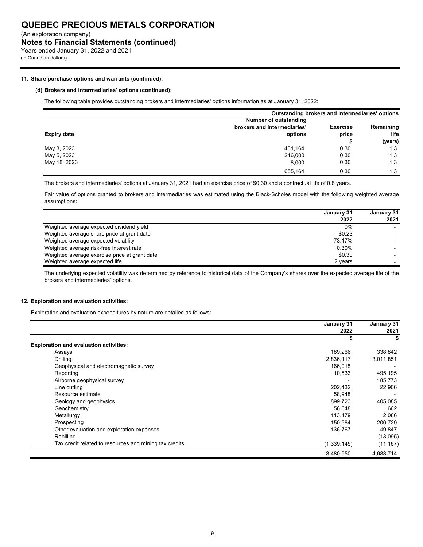## **Notes to Financial Statements (continued)**

Years ended January 31, 2022 and 2021

(in Canadian dollars)

## **11. Share purchase options and warrants (continued):**

## **(d) Brokers and intermediaries' options (continued):**

The following table provides outstanding brokers and intermediaries' options information as at January 31, 2022:

|                    |                              | Outstanding brokers and intermediaries' options |           |  |
|--------------------|------------------------------|-------------------------------------------------|-----------|--|
|                    | <b>Number of outstanding</b> |                                                 |           |  |
|                    | brokers and intermediaries'  | <b>Exercise</b>                                 | Remaining |  |
| <b>Expiry date</b> | options                      | price                                           | life      |  |
|                    |                              |                                                 | (years)   |  |
| May 3, 2023        | 431.164                      | 0.30                                            | 1.3       |  |
| May 5, 2023        | 216,000                      | 0.30                                            | 1.3       |  |
| May 18, 2023       | 8.000                        | 0.30                                            | 1.3       |  |
|                    | 655.164                      | 0.30                                            | 1.3       |  |

The brokers and intermediaries' options at January 31, 2021 had an exercise price of \$0.30 and a contractual life of 0.8 years.

Fair value of options granted to brokers and intermediaries was estimated using the Black-Scholes model with the following weighted average assumptions:

|                                               | January 31 | January 31 |
|-----------------------------------------------|------------|------------|
|                                               | 2022       | 2021       |
| Weighted average expected dividend yield      | 0%         |            |
| Weighted average share price at grant date    | \$0.23     |            |
| Weighted average expected volatility          | 73.17%     |            |
| Weighted average risk-free interest rate      | 0.30%      |            |
| Weighted average exercise price at grant date | \$0.30     |            |
| Weighted average expected life                | 2 years    |            |

The underlying expected volatility was determined by reference to historical data of the Company's shares over the expected average life of the brokers and intermediaries' options.

## **12. Exploration and evaluation activities:**

Exploration and evaluation expenditures by nature are detailed as follows:

|                                                        | January 31  | January 31 |
|--------------------------------------------------------|-------------|------------|
|                                                        | 2022        | 2021       |
|                                                        | \$          | 5          |
| <b>Exploration and evaluation activities:</b>          |             |            |
| Assays                                                 | 189.266     | 338,842    |
| Drilling                                               | 2,836,117   | 3,011,851  |
| Geophysical and electromagnetic survey                 | 166,018     |            |
| Reporting                                              | 10,533      | 495,195    |
| Airborne geophysical survey                            |             | 185,773    |
| Line cutting                                           | 202,432     | 22,906     |
| Resource estimate                                      | 58,948      |            |
| Geology and geophysics                                 | 899,723     | 405,085    |
| Geochemistry                                           | 56,548      | 662        |
| Metallurgy                                             | 113,179     | 2,086      |
| Prospecting                                            | 150,564     | 200,729    |
| Other evaluation and exploration expenses              | 136,767     | 49,847     |
| Rebilling                                              |             | (13,095)   |
| Tax credit related to resources and mining tax credits | (1,339,145) | (11, 167)  |
|                                                        | 3,480,950   | 4,688,714  |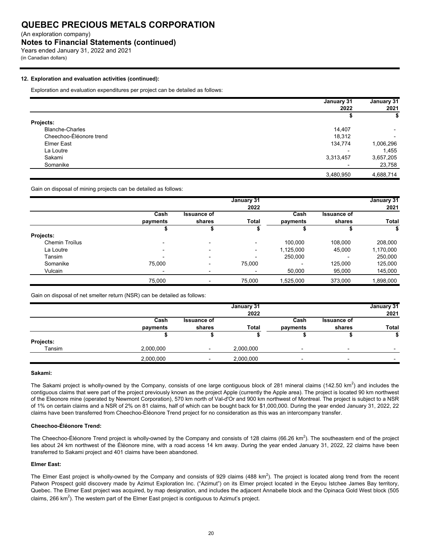(An exploration company)

## **Notes to Financial Statements (continued)**

Years ended January 31, 2022 and 2021

(in Canadian dollars)

#### **12. Exploration and evaluation activities (continued):**

Exploration and evaluation expenditures per project can be detailed as follows:

|                         | January 31<br>2022       | January 31<br>2021 |
|-------------------------|--------------------------|--------------------|
|                         |                          | -10                |
| Projects:               |                          |                    |
| <b>Blanche-Charles</b>  | 14,407                   |                    |
| Cheechoo-Éléonore trend | 18,312                   |                    |
| Elmer East              | 134,774                  | 1,006,296          |
| La Loutre               | $\overline{\phantom{0}}$ | 1,455              |
| Sakami                  | 3,313,457                | 3,657,205          |
| Somanike                |                          | 23,758             |
|                         | 3,480,950                | 4,688,714          |

Gain on disposal of mining projects can be detailed as follows:

|                |                          |                          | January 31               |           |                          | January 31   |
|----------------|--------------------------|--------------------------|--------------------------|-----------|--------------------------|--------------|
|                |                          |                          | 2022                     |           |                          | 2021         |
|                | Cash                     | <b>Issuance of</b>       |                          | Cash      | <b>Issuance of</b>       |              |
|                | payments                 | shares                   | Total                    | payments  | shares                   | <b>Total</b> |
|                |                          |                          | ш                        |           |                          | 5            |
| Projects:      |                          |                          |                          |           |                          |              |
| Chemin Troïlus | -                        | $\overline{\phantom{a}}$ | $\overline{\phantom{a}}$ | 100,000   | 108,000                  | 208,000      |
| La Loutre      | $\overline{\phantom{0}}$ | $\overline{\phantom{a}}$ | $\overline{\phantom{a}}$ | 1,125,000 | 45,000                   | 1,170,000    |
| Tansim         |                          | $\overline{\phantom{a}}$ |                          | 250,000   | $\overline{\phantom{0}}$ | 250,000      |
| Somanike       | 75,000                   | $\overline{\phantom{a}}$ | 75,000                   |           | 125,000                  | 125,000      |
| Vulcain        |                          | $\overline{\phantom{0}}$ |                          | 50,000    | 95,000                   | 145,000      |
|                | 75,000                   | $\overline{\phantom{a}}$ | 75,000                   | 1,525,000 | 373,000                  | 898,000      |

Gain on disposal of net smelter return (NSR) can be detailed as follows:

|           |                  |                              | January 31<br>2022 |                          |                              | January 31<br>2021 |
|-----------|------------------|------------------------------|--------------------|--------------------------|------------------------------|--------------------|
|           | Cash<br>payments | <b>Issuance of</b><br>shares | <b>Total</b>       | Cash<br>payments         | <b>Issuance of</b><br>shares | <b>Total</b>       |
| Projects: |                  |                              |                    |                          |                              |                    |
| Tansim    | 2,000,000        | $\overline{\phantom{a}}$     | 2,000,000          |                          | $\overline{\phantom{0}}$     |                    |
|           | 2,000,000        | $\overline{\phantom{a}}$     | 2,000,000          | $\overline{\phantom{0}}$ | $\overline{\phantom{0}}$     |                    |

#### **Sakami:**

The Sakami project is wholly-owned by the Company, consists of one large contiguous block of 281 mineral claims (142.50 km<sup>2</sup>) and includes the contiguous claims that were part of the project previously known as the project Apple (currently the Apple area). The project is located 90 km northwest of the Eleonore mine (operated by Newmont Corporation), 570 km north of Val-d'Or and 900 km northwest of Montreal. The project is subject to a NSR of 1% on certain claims and a NSR of 2% on 81 claims, half of which can be bought back for \$1,000,000. During the year ended January 31, 2022, 22 claims have been transferred from Cheechoo-Éléonore Trend project for no consideration as this was an intercompany transfer.

## **Cheechoo-Éléonore Trend:**

The Cheechoo-Éléonore Trend project is wholly-owned by the Company and consists of 128 claims (66.26 km<sup>2</sup>). The southeastern end of the project lies about 24 km northwest of the Éléonore mine, with a road access 14 km away. During the year ended January 31, 2022, 22 claims have been transferred to Sakami project and 401 claims have been abandoned.

#### **Elmer East:**

The Elmer East project is wholly-owned by the Company and consists of 929 claims (488 km<sup>2</sup>). The project is located along trend from the recent Patwon Prospect gold discovery made by Azimut Exploration Inc. ("Azimut") on its Elmer project located in the Eeyou Istchee James Bay territory, Quebec. The Elmer East project was acquired, by map designation, and includes the adjacent Annabelle block and the Opinaca Gold West block (505 claims, 266 km $^2$ ). The western part of the Elmer East project is contiguous to Azimut's project.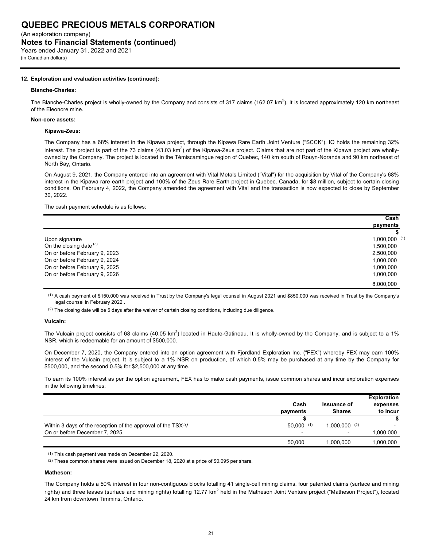(An exploration company)

#### **Notes to Financial Statements (continued)**

Years ended January 31, 2022 and 2021 (in Canadian dollars)

#### **12. Exploration and evaluation activities (continued):**

#### **Blanche-Charles:**

The Blanche-Charles project is wholly-owned by the Company and consists of 317 claims (162.07 km<sup>2</sup>). It is located approximately 120 km northeast of the Eleonore mine.

#### **Non-core assets:**

#### **Kipawa-Zeus:**

The Company has a 68% interest in the Kipawa project, through the Kipawa Rare Earth Joint Venture ("SCCK"). IQ holds the remaining 32% interest. The project is part of the 73 claims (43.03 km<sup>2</sup>) of the Kipawa-Zeus project. Claims that are not part of the Kipawa project are whollyowned by the Company. The project is located in the Témiscamingue region of Quebec, 140 km south of Rouyn-Noranda and 90 km northeast of North Bay, Ontario.

On August 9, 2021, the Company entered into an agreement with Vital Metals Limited ("Vital") for the acquisition by Vital of the Company's 68% interest in the Kipawa rare earth project and 100% of the Zeus Rare Earth project in Quebec, Canada, for \$8 million, subject to certain closing conditions. On February 4, 2022, the Company amended the agreement with Vital and the transaction is now expected to close by September 30, 2022.

The cash payment schedule is as follows:

|                               | Cash            |
|-------------------------------|-----------------|
|                               | payments        |
|                               |                 |
| Upon signature                | $1,000,000$ (1) |
| On the closing date (2)       | 1,500,000       |
| On or before February 9, 2023 | 2,500,000       |
| On or before February 9, 2024 | 1,000,000       |
| On or before February 9, 2025 | 1,000,000       |
| On or before February 9, 2026 | 1,000,000       |
|                               | 8.000.000       |

(1) A cash payment of \$150,000 was received in Trust by the Company's legal counsel in August 2021 and \$850,000 was received in Trust by the Company's legal counsel in February 2022 .

 $(2)$  The closing date will be 5 days after the waiver of certain closing conditions, including due diligence.

#### **Vulcain:**

The Vulcain project consists of 68 claims (40.05 km<sup>2</sup>) located in Haute-Gatineau. It is wholly-owned by the Company, and is subject to a 1% NSR, which is redeemable for an amount of \$500,000.

On December 7, 2020, the Company entered into an option agreement with Fjordland Exploration Inc. ("FEX") whereby FEX may earn 100% interest of the Vulcain project. It is subject to a 1% NSR on production, of which 0.5% may be purchased at any time by the Company for \$500,000, and the second 0.5% for \$2,500,000 at any time.

To earn its 100% interest as per the option agreement, FEX has to make cash payments, issue common shares and incur exploration expenses in the following timelines:

|                                                                                              | Cash<br>payments                         | <b>Issuance of</b><br><b>Shares</b> | <b>Exploration</b><br>expenses<br>to incur |
|----------------------------------------------------------------------------------------------|------------------------------------------|-------------------------------------|--------------------------------------------|
| Within 3 days of the reception of the approval of the TSX-V<br>On or before December 7, 2025 | $50.000$ (1)<br>$\overline{\phantom{0}}$ | $1,000,000$ (2)                     | 1.000.000                                  |
|                                                                                              | 50.000                                   | 000.000.                            | 1.000.000                                  |

(1) This cash payment was made on December 22, 2020.

(2) These common shares were issued on December 18, 2020 at a price of \$0.095 per share.

#### **Matheson:**

The Company holds a 50% interest in four non-contiguous blocks totalling 41 single-cell mining claims, four patented claims (surface and mining rights) and three leases (surface and mining rights) totalling 12.77 km<sup>2</sup> held in the Matheson Joint Venture project ("Matheson Project"), located 24 km from downtown Timmins, Ontario.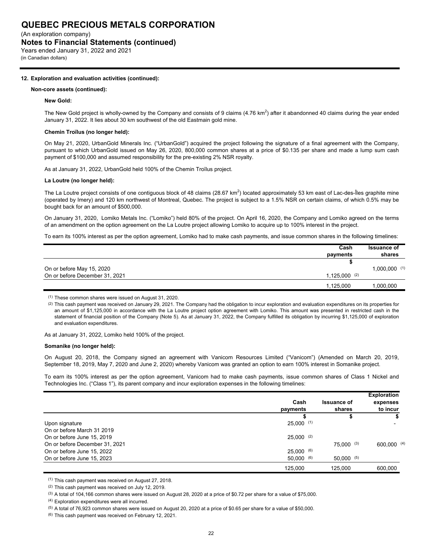(An exploration company)

### **Notes to Financial Statements (continued)**

Years ended January 31, 2022 and 2021 (in Canadian dollars)

#### **12. Exploration and evaluation activities (continued):**

#### **Non-core assets (continued):**

#### **New Gold:**

The New Gold project is wholly-owned by the Company and consists of 9 claims (4.76 km<sup>2</sup>) after it abandonned 40 claims during the year ended January 31, 2022. It lies about 30 km southwest of the old Eastmain gold mine.

#### **Chemin Troïlus (no longer held):**

On May 21, 2020, UrbanGold Minerals Inc. ("UrbanGold") acquired the project following the signature of a final agreement with the Company, pursuant to which UrbanGold issued on May 26, 2020, 800,000 common shares at a price of \$0.135 per share and made a lump sum cash payment of \$100,000 and assumed responsibility for the pre-existing 2% NSR royalty.

As at January 31, 2022, UrbanGold held 100% of the Chemin Troïlus project.

#### **La Loutre (no longer held):**

The La Loutre project consists of one contiguous block of 48 claims (28.67 km<sup>2</sup>) located approximately 53 km east of Lac-des-Îles graphite mine (operated by Imery) and 120 km northwest of Montreal, Quebec. The project is subject to a 1.5% NSR on certain claims, of which 0.5% may be bought back for an amount of \$500,000.

On January 31, 2020, Lomiko Metals Inc. ("Lomiko") held 80% of the project. On April 16, 2020, the Company and Lomiko agreed on the terms of an amendment on the option agreement on the La Loutre project allowing Lomiko to acquire up to 100% interest in the project.

To earn its 100% interest as per the option agreement, Lomiko had to make cash payments, and issue common shares in the following timelines:

|                                | Cash            | <b>Issuance of</b> |
|--------------------------------|-----------------|--------------------|
|                                | payments        | shares             |
|                                |                 |                    |
| On or before May 15, 2020      |                 | $1,000,000$ (1)    |
| On or before December 31, 2021 | $1.125.000$ (2) |                    |
|                                | 1,125,000       | 1,000,000          |

(1) These common shares were issued on August 31, 2020.

 $^{(2)}$  This cash payment was received on January 29, 2021. The Company had the obligation to incur exploration and evaluation expenditures on its properties for an amount of \$1,125,000 in accordance with the La Loutre project option agreement with Lomiko. This amount was presented in restricted cash in the statement of financial position of the Company (Note 5). As at January 31, 2022, the Company fulfilled its obligation by incurring \$1,125,000 of exploration and evaluation expenditures.

As at January 31, 2022, Lomiko held 100% of the project.

#### **Somanike (no longer held):**

On August 20, 2018, the Company signed an agreement with Vanicom Resources Limited ("Vanicom") (Amended on March 20, 2019, September 18, 2019, May 7, 2020 and June 2, 2020) whereby Vanicom was granted an option to earn 100% interest in Somanike project.

To earn its 100% interest as per the option agreement, Vanicom had to make cash payments, issue common shares of Class 1 Nickel and Technologies Inc. ("Class 1"), its parent company and incur exploration expenses in the following timelines:

|                                | Cash<br>payments | <b>Issuance of</b><br>shares | <b>Exploration</b><br>expenses<br>to incur |
|--------------------------------|------------------|------------------------------|--------------------------------------------|
|                                |                  |                              |                                            |
| Upon signature                 | $25,000$ (1)     |                              |                                            |
| On or before March 31 2019     |                  |                              |                                            |
| On or before June 15, 2019     | $25,000$ (2)     |                              |                                            |
| On or before December 31, 2021 |                  | $75.000$ <sup>(3)</sup>      | 600.000 (4)                                |
| On or before June 15, 2022     | $25,000^{(6)}$   |                              |                                            |
| On or before June 15, 2023     | $50,000$ (6)     | $50.000$ (5)                 |                                            |
|                                | 125.000          | 125.000                      | 600.000                                    |

(1) This cash payment was received on August 27, 2018.

(2) This cash payment was received on July 12, 2019.

 $^{\left( 3\right) }$  A total of 104,166 common shares were issued on August 28, 2020 at a price of \$0.72 per share for a value of \$75,000.

(4) Exploration expenditures were all incurred.

 $^{(5)}$  A total of 76,923 common shares were issued on August 20, 2020 at a price of \$0.65 per share for a value of \$50,000.

(6) This cash payment was received on February 12, 2021.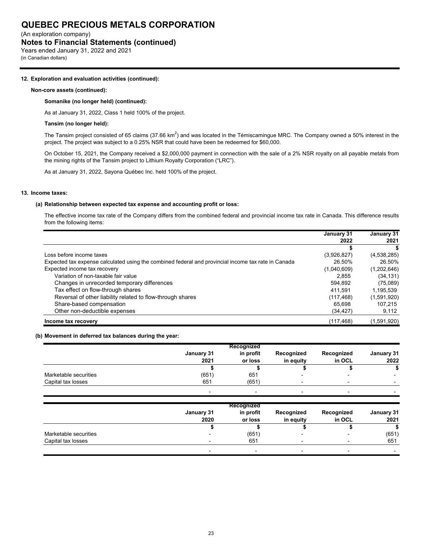(An exploration company)

## **Notes to Financial Statements (continued)**

Years ended January 31, 2022 and 2021 (in Canadian dollars)

### **12. Exploration and evaluation activities (continued):**

### **Non-core assets (continued):**

**Somanike (no longer held) (continued):**

As at January 31, 2022, Class 1 held 100% of the project.

## **Tansim (no longer held):**

The Tansim project consisted of 65 claims (37.66 km $^2$ ) and was located in the Témiscamingue MRC. The Company owned a 50% interest in the project. The project was subject to a 0.25% NSR that could have been be redeemed for \$60,000.

On October 15, 2021, the Company received a \$2,000,000 payment in connection with the sale of a 2% NSR royalty on all payable metals from the mining rights of the Tansim project to Lithium Royalty Corporation ("LRC").

As at January 31, 2022, Sayona Québec Inc. held 100% of the project.

## **13. Income taxes:**

## **(a) Relationship between expected tax expense and accounting profit or loss:**

The effective income tax rate of the Company differs from the combined federal and provincial income tax rate in Canada. This difference results from the following items:

|                                                                                                     | January 31  | January 31  |
|-----------------------------------------------------------------------------------------------------|-------------|-------------|
|                                                                                                     | 2022        | 2021        |
|                                                                                                     |             |             |
| Loss before income taxes                                                                            | (3,926,827) | (4,538,285) |
| Expected tax expense calculated using the combined federal and provincial income tax rate in Canada | 26.50%      | 26.50%      |
| Expected income tax recovery                                                                        | (1,040,609) | (1,202,646) |
| Variation of non-taxable fair value                                                                 | 2.855       | (34, 131)   |
| Changes in unrecorded temporary differences                                                         | 594.892     | (75,089)    |
| Tax effect on flow-through shares                                                                   | 411.591     | 1,195,539   |
| Reversal of other liability related to flow-through shares                                          | (117, 468)  | (1,591,920) |
| Share-based compensation                                                                            | 65.698      | 107.215     |
| Other non-deductible expenses                                                                       | (34,427)    | 9,112       |
| Income tax recovery                                                                                 | (117, 468)  | (1,591,920) |

**(b) Movement in deferred tax balances during the year:**

|                       |                          | Recognized |                          |            |            |
|-----------------------|--------------------------|------------|--------------------------|------------|------------|
|                       | January 31               | in profit  | Recognized               | Recognized | January 31 |
|                       | 2021                     | or loss    | in equity                | in OCL     | 2022       |
|                       |                          |            |                          |            |            |
| Marketable securities | (651)                    | 651        |                          |            |            |
| Capital tax losses    | 651                      | (651)      | $\overline{\phantom{a}}$ |            |            |
|                       |                          |            |                          |            |            |
|                       |                          | Recognized |                          |            |            |
|                       | January 31               | in profit  | Recognized               | Recognized | January 31 |
|                       | 2020                     | or loss    | in equity                | in OCL     | 2021       |
|                       |                          |            |                          |            | \$         |
| Marketable securities |                          | (651)      |                          |            | (651)      |
| Capital tax losses    |                          | 651        |                          |            | 651        |
|                       | $\overline{\phantom{0}}$ |            | -                        |            |            |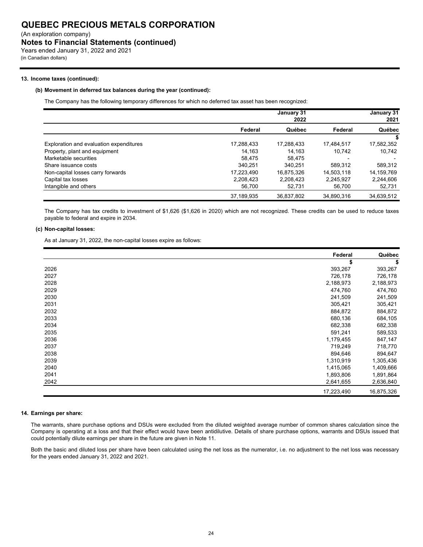## **Notes to Financial Statements (continued)**

Years ended January 31, 2022 and 2021

(in Canadian dollars)

## **13. Income taxes (continued):**

## **(b) Movement in deferred tax balances during the year (continued):**

The Company has the following temporary differences for which no deferred tax asset has been recognized:

|                                         |            | January 31<br>2022 |            | January 31<br>2021 |
|-----------------------------------------|------------|--------------------|------------|--------------------|
|                                         | Federal    | Québec             | Federal    | Québec             |
|                                         |            |                    |            |                    |
| Exploration and evaluation expenditures | 17,288,433 | 17,288,433         | 17.484.517 | 17,582,352         |
| Property, plant and equipment           | 14.163     | 14.163             | 10.742     | 10.742             |
| Marketable securities                   | 58.475     | 58.475             |            |                    |
| Share issuance costs                    | 340.251    | 340.251            | 589.312    | 589,312            |
| Non-capital losses carry forwards       | 17,223,490 | 16,875,326         | 14,503,118 | 14,159,769         |
| Capital tax losses                      | 2,208,423  | 2,208,423          | 2,245,927  | 2,244,606          |
| Intangible and others                   | 56.700     | 52,731             | 56.700     | 52,731             |
|                                         | 37,189,935 | 36,837,802         | 34,890,316 | 34,639,512         |

The Company has tax credits to investment of \$1,626 (\$1,626 in 2020) which are not recognized. These credits can be used to reduce taxes payable to federal and expire in 2034.

## **(c) Non-capital losses:**

As at January 31, 2022, the non-capital losses expire as follows:

|      | Federal    | Québec     |
|------|------------|------------|
|      | \$         | \$         |
| 2026 | 393,267    | 393,267    |
| 2027 | 726,178    | 726,178    |
| 2028 | 2,188,973  | 2,188,973  |
| 2029 | 474,760    | 474,760    |
| 2030 | 241,509    | 241,509    |
| 2031 | 305,421    | 305,421    |
| 2032 | 884,872    | 884,872    |
| 2033 | 680,136    | 684,105    |
| 2034 | 682,338    | 682,338    |
| 2035 | 591,241    | 589,533    |
| 2036 | 1,179,455  | 847,147    |
| 2037 | 719,249    | 718,770    |
| 2038 | 894,646    | 894,647    |
| 2039 | 1,310,919  | 1,305,436  |
| 2040 | 1,415,065  | 1,409,666  |
| 2041 | 1,893,806  | 1,891,864  |
| 2042 | 2,641,655  | 2,636,840  |
|      | 17,223,490 | 16,875,326 |

## **14. Earnings per share:**

The warrants, share purchase options and DSUs were excluded from the diluted weighted average number of common shares calculation since the Company is operating at a loss and that their effect would have been antidilutive. Details of share purchase options, warrants and DSUs issued that could potentially dilute earnings per share in the future are given in Note 11.

Both the basic and diluted loss per share have been calculated using the net loss as the numerator, i.e. no adjustment to the net loss was necessary for the years ended January 31, 2022 and 2021.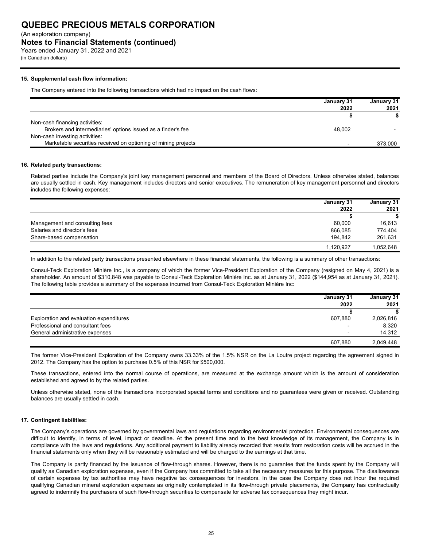## **Notes to Financial Statements (continued)**

Years ended January 31, 2022 and 2021

(in Canadian dollars)

## **15. Supplemental cash flow information:**

The Company entered into the following transactions which had no impact on the cash flows:

|                                                                | January 31 | January 31 |
|----------------------------------------------------------------|------------|------------|
|                                                                | 2022       | 2021       |
|                                                                |            |            |
| Non-cash financing activities:                                 |            |            |
| Brokers and intermediaries' options issued as a finder's fee   | 48.002     |            |
| Non-cash investing activities:                                 |            |            |
| Marketable securities received on optioning of mining projects |            | 373.000    |
|                                                                |            |            |

## **16. Related party transactions:**

Related parties include the Company's joint key management personnel and members of the Board of Directors. Unless otherwise stated, balances are usually settled in cash. Key management includes directors and senior executives. The remuneration of key management personnel and directors includes the following expenses:

|                                | January 31 | January 31 |
|--------------------------------|------------|------------|
|                                | 2022       | 2021       |
|                                |            |            |
| Management and consulting fees | 60,000     | 16,613     |
| Salaries and director's fees   | 866,085    | 774.404    |
| Share-based compensation       | 194.842    | 261,631    |
|                                | 1.120.927  | .052.648   |

In addition to the related party transactions presented elsewhere in these financial statements, the following is a summary of other transactions:

Consul-Teck Exploration Minière Inc., is a company of which the former Vice-President Exploration of the Company (resigned on May 4, 2021) is a shareholder. An amount of \$310,848 was payable to Consul-Teck Exploration Minière Inc. as at January 31, 2022 (\$144,954 as at January 31, 2021). The following table provides a summary of the expenses incurred from Consul-Teck Exploration Minière Inc:

|                                         | January 31               | January 31 |
|-----------------------------------------|--------------------------|------------|
|                                         | 2022                     | 2021       |
|                                         |                          |            |
| Exploration and evaluation expenditures | 607.880                  | 2,026,816  |
| Professional and consultant fees        | $\overline{\phantom{0}}$ | 8,320      |
| General administrative expenses         |                          | 14,312     |
|                                         | 607.880                  | 2.049.448  |

The former Vice-President Exploration of the Company owns 33.33% of the 1.5% NSR on the La Loutre project regarding the agreement signed in 2012. The Company has the option to purchase 0.5% of this NSR for \$500,000.

These transactions, entered into the normal course of operations, are measured at the exchange amount which is the amount of consideration established and agreed to by the related parties.

Unless otherwise stated, none of the transactions incorporated special terms and conditions and no guarantees were given or received. Outstanding balances are usually settled in cash.

## **17. Contingent liabilities:**

The Company's operations are governed by governmental laws and regulations regarding environmental protection. Environmental consequences are difficult to identify, in terms of level, impact or deadline. At the present time and to the best knowledge of its management, the Company is in compliance with the laws and regulations. Any additional payment to liability already recorded that results from restoration costs will be accrued in the financial statements only when they will be reasonably estimated and will be charged to the earnings at that time.

The Company is partly financed by the issuance of flow-through shares. However, there is no guarantee that the funds spent by the Company will qualify as Canadian exploration expenses, even if the Company has committed to take all the necessary measures for this purpose. The disallowance of certain expenses by tax authorities may have negative tax consequences for investors. In the case the Company does not incur the required qualifying Canadian mineral exploration expenses as originally contemplated in its flow-through private placements, the Company has contractually agreed to indemnify the purchasers of such flow-through securities to compensate for adverse tax consequences they might incur.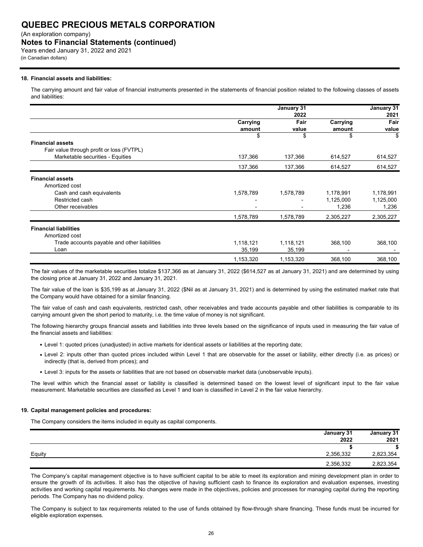## **Notes to Financial Statements (continued)**

Years ended January 31, 2022 and 2021

(in Canadian dollars)

## **18. Financial assets and liabilities:**

The carrying amount and fair value of financial instruments presented in the statements of financial position related to the following classes of assets and liabilities:

|                                              |           | January 31 |           | January 31 |  |
|----------------------------------------------|-----------|------------|-----------|------------|--|
|                                              | 2022      |            |           | 2021       |  |
|                                              | Carrying  | Fair       | Carrying  | Fair       |  |
|                                              | amount    | value      | amount    | value      |  |
|                                              | \$        | \$         | \$        | \$         |  |
| <b>Financial assets</b>                      |           |            |           |            |  |
| Fair value through profit or loss (FVTPL)    |           |            |           |            |  |
| Marketable securities - Equities             | 137,366   | 137,366    | 614,527   | 614,527    |  |
|                                              | 137,366   | 137,366    | 614,527   | 614,527    |  |
| <b>Financial assets</b>                      |           |            |           |            |  |
| Amortized cost                               |           |            |           |            |  |
| Cash and cash equivalents                    | 1,578,789 | 1,578,789  | 1,178,991 | 1,178,991  |  |
| Restricted cash                              |           |            | 1,125,000 | 1,125,000  |  |
| Other receivables                            |           |            | 1,236     | 1,236      |  |
|                                              | 1,578,789 | 1,578,789  | 2,305,227 | 2,305,227  |  |
| <b>Financial liabilities</b>                 |           |            |           |            |  |
| Amortized cost                               |           |            |           |            |  |
| Trade accounts payable and other liabilities | 1,118,121 | 1,118,121  | 368,100   | 368,100    |  |
| Loan                                         | 35,199    | 35,199     |           |            |  |
|                                              | 1,153,320 | 1,153,320  | 368,100   | 368,100    |  |

The fair values of the marketable securities totalize \$137,366 as at January 31, 2022 (\$614,527 as at January 31, 2021) and are determined by using the closing price at January 31, 2022 and January 31, 2021.

The fair value of the loan is \$35,199 as at January 31, 2022 (\$Nil as at January 31, 2021) and is determined by using the estimated market rate that the Company would have obtained for a similar financing.

The fair value of cash and cash equivalents, restricted cash, other receivables and trade accounts payable and other liabilities is comparable to its carrying amount given the short period to maturity, i.e. the time value of money is not significant.

The following hierarchy groups financial assets and liabilities into three levels based on the significance of inputs used in measuring the fair value of the financial assets and liabilities:

- Level 1: quoted prices (unadjusted) in active markets for identical assets or liabilities at the reporting date;
- Level 2: inputs other than quoted prices included within Level 1 that are observable for the asset or liability, either directly (i.e. as prices) or indirectly (that is, derived from prices); and
- Level 3: inputs for the assets or liabilities that are not based on observable market data (unobservable inputs).

The level within which the financial asset or liability is classified is determined based on the lowest level of significant input to the fair value measurement. Marketable securities are classified as Level 1 and loan is classified in Level 2 in the fair value hierarchy.

## **19. Capital management policies and procedures:**

The Company considers the items included in equity as capital components.

|        | January 31<br>2022 | January 31<br>2021 |
|--------|--------------------|--------------------|
|        |                    |                    |
| Equity | 2,356,332          | 2,823,354          |
|        | 2,356,332          | 2,823,354          |

The Company's capital management objective is to have sufficient capital to be able to meet its exploration and mining development plan in order to ensure the growth of its activities. It also has the objective of having sufficient cash to finance its exploration and evaluation expenses, investing activities and working capital requirements. No changes were made in the objectives, policies and processes for managing capital during the reporting periods. The Company has no dividend policy.

The Company is subject to tax requirements related to the use of funds obtained by flow-through share financing. These funds must be incurred for eligible exploration expenses.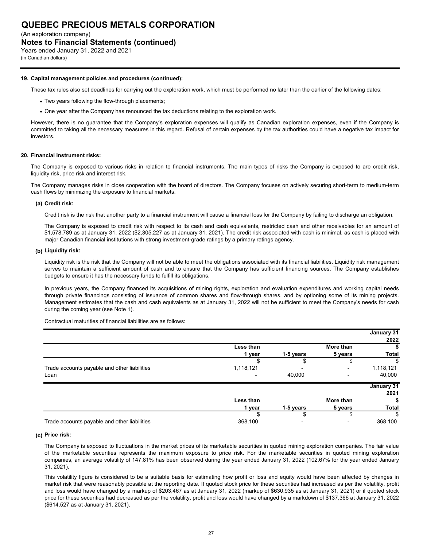(An exploration company)

## **Notes to Financial Statements (continued)**

Years ended January 31, 2022 and 2021

(in Canadian dollars)

## **19. Capital management policies and procedures (continued):**

These tax rules also set deadlines for carrying out the exploration work, which must be performed no later than the earlier of the following dates:

- Two years following the flow-through placements;
- One year after the Company has renounced the tax deductions relating to the exploration work.

However, there is no guarantee that the Company's exploration expenses will qualify as Canadian exploration expenses, even if the Company is committed to taking all the necessary measures in this regard. Refusal of certain expenses by the tax authorities could have a negative tax impact for investors.

## **20. Financial instrument risks:**

The Company is exposed to various risks in relation to financial instruments. The main types of risks the Company is exposed to are credit risk, liquidity risk, price risk and interest risk.

The Company manages risks in close cooperation with the board of directors. The Company focuses on actively securing short-term to medium-term cash flows by minimizing the exposure to financial markets.

#### **(a) Credit risk:**

Credit risk is the risk that another party to a financial instrument will cause a financial loss for the Company by failing to discharge an obligation.

The Company is exposed to credit risk with respect to its cash and cash equivalents, restricted cash and other receivables for an amount of \$1,578,789 as at January 31, 2022 (\$2,305,227 as at January 31, 2021). The credit risk associated with cash is minimal, as cash is placed with major Canadian financial institutions with strong investment-grade ratings by a primary ratings agency.

#### **(b) Liquidity risk:**

Liquidity risk is the risk that the Company will not be able to meet the obligations associated with its financial liabilities. Liquidity risk management serves to maintain a sufficient amount of cash and to ensure that the Company has sufficient financing sources. The Company establishes budgets to ensure it has the necessary funds to fulfill its obligations.

In previous years, the Company financed its acquisitions of mining rights, exploration and evaluation expenditures and working capital needs through private financings consisting of issuance of common shares and flow-through shares, and by optioning some of its mining projects. Management estimates that the cash and cash equivalents as at January 31, 2022 will not be sufficient to meet the Company's needs for cash during the coming year (see Note 1).

Contractual maturities of financial liabilities are as follows:

|                                              |                          |                          |           | January 31<br>2022 |
|----------------------------------------------|--------------------------|--------------------------|-----------|--------------------|
|                                              | Less than                |                          | More than | \$                 |
|                                              | 1 year                   | 1-5 years                | 5 years   | Total              |
|                                              | Ъ                        | ъ                        | \$        | \$                 |
| Trade accounts payable and other liabilities | 1,118,121                | $\overline{\phantom{0}}$ |           | 1,118,121          |
| Loan                                         | $\overline{\phantom{0}}$ | 40,000                   | -         | 40,000             |
|                                              |                          |                          |           | January 31<br>2021 |
|                                              | Less than                |                          | More than | S                  |
|                                              | 1 year                   | 1-5 years                | 5 years   | Total              |
|                                              |                          |                          | \$        | \$                 |
| Trade accounts payable and other liabilities | 368,100                  | $\overline{\phantom{a}}$ |           | 368,100            |

#### **(c) Price risk:**

The Company is exposed to fluctuations in the market prices of its marketable securities in quoted mining exploration companies. The fair value of the marketable securities represents the maximum exposure to price risk. For the marketable securities in quoted mining exploration companies, an average volatility of 147.81% has been observed during the year ended January 31, 2022 (102.67% for the year ended January 31, 2021).

This volatility figure is considered to be a suitable basis for estimating how profit or loss and equity would have been affected by changes in market risk that were reasonably possible at the reporting date. If quoted stock price for these securities had increased as per the volatility, profit and loss would have changed by a markup of \$203,467 as at January 31, 2022 (markup of \$630,935 as at January 31, 2021) or if quoted stock price for these securities had decreased as per the volatility, profit and loss would have changed by a markdown of \$137,366 at January 31, 2022 (\$614,527 as at January 31, 2021).